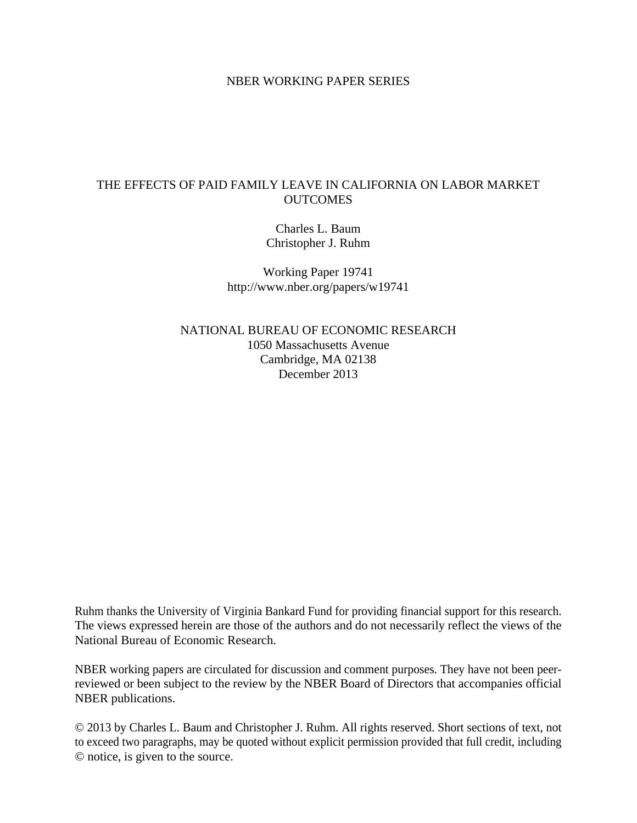## NBER WORKING PAPER SERIES

# THE EFFECTS OF PAID FAMILY LEAVE IN CALIFORNIA ON LABOR MARKET **OUTCOMES**

Charles L. Baum Christopher J. Ruhm

Working Paper 19741 http://www.nber.org/papers/w19741

NATIONAL BUREAU OF ECONOMIC RESEARCH 1050 Massachusetts Avenue Cambridge, MA 02138 December 2013

Ruhm thanks the University of Virginia Bankard Fund for providing financial support for this research. The views expressed herein are those of the authors and do not necessarily reflect the views of the National Bureau of Economic Research.

NBER working papers are circulated for discussion and comment purposes. They have not been peerreviewed or been subject to the review by the NBER Board of Directors that accompanies official NBER publications.

© 2013 by Charles L. Baum and Christopher J. Ruhm. All rights reserved. Short sections of text, not to exceed two paragraphs, may be quoted without explicit permission provided that full credit, including © notice, is given to the source.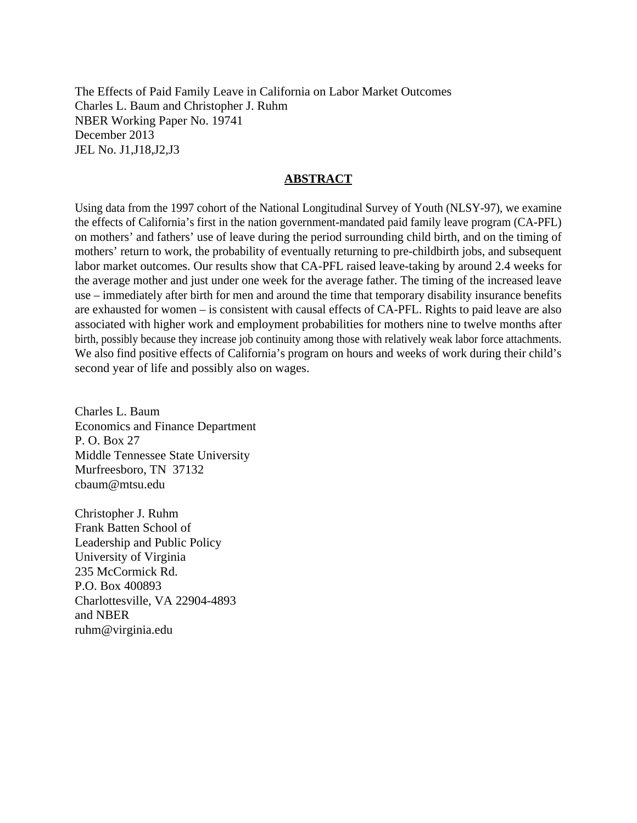The Effects of Paid Family Leave in California on Labor Market Outcomes Charles L. Baum and Christopher J. Ruhm NBER Working Paper No. 19741 December 2013 JEL No. J1,J18,J2,J3

### **ABSTRACT**

Using data from the 1997 cohort of the National Longitudinal Survey of Youth (NLSY-97), we examine the effects of California's first in the nation government-mandated paid family leave program (CA-PFL) on mothers' and fathers' use of leave during the period surrounding child birth, and on the timing of mothers' return to work, the probability of eventually returning to pre-childbirth jobs, and subsequent labor market outcomes. Our results show that CA-PFL raised leave-taking by around 2.4 weeks for the average mother and just under one week for the average father. The timing of the increased leave use – immediately after birth for men and around the time that temporary disability insurance benefits are exhausted for women – is consistent with causal effects of CA-PFL. Rights to paid leave are also associated with higher work and employment probabilities for mothers nine to twelve months after birth, possibly because they increase job continuity among those with relatively weak labor force attachments. We also find positive effects of California's program on hours and weeks of work during their child's second year of life and possibly also on wages.

Charles L. Baum Economics and Finance Department P. O. Box 27 Middle Tennessee State University Murfreesboro, TN 37132 cbaum@mtsu.edu

Christopher J. Ruhm Frank Batten School of Leadership and Public Policy University of Virginia 235 McCormick Rd. P.O. Box 400893 Charlottesville, VA 22904-4893 and NBER ruhm@virginia.edu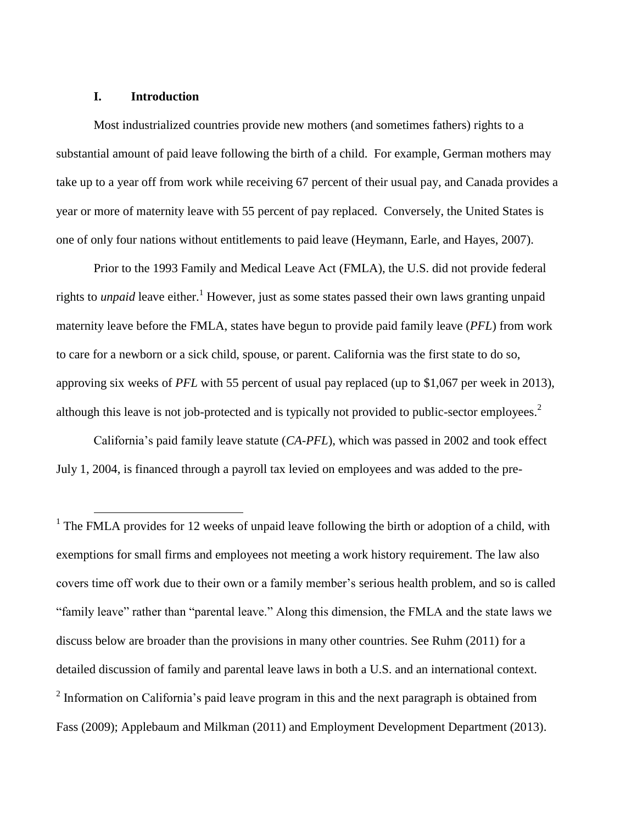### **I. Introduction**

 $\overline{a}$ 

Most industrialized countries provide new mothers (and sometimes fathers) rights to a substantial amount of paid leave following the birth of a child. For example, German mothers may take up to a year off from work while receiving 67 percent of their usual pay, and Canada provides a year or more of maternity leave with 55 percent of pay replaced. Conversely, the United States is one of only four nations without entitlements to paid leave (Heymann, Earle, and Hayes, 2007).

Prior to the 1993 Family and Medical Leave Act (FMLA), the U.S. did not provide federal rights to *unpaid* leave either. <sup>1</sup> However, just as some states passed their own laws granting unpaid maternity leave before the FMLA, states have begun to provide paid family leave (*PFL*) from work to care for a newborn or a sick child, spouse, or parent. California was the first state to do so, approving six weeks of *PFL* with 55 percent of usual pay replaced (up to \$1,067 per week in 2013), although this leave is not job-protected and is typically not provided to public-sector employees.<sup>2</sup>

California's paid family leave statute (*CA-PFL*), which was passed in 2002 and took effect July 1, 2004, is financed through a payroll tax levied on employees and was added to the pre-

<sup>1</sup> The FMLA provides for 12 weeks of unpaid leave following the birth or adoption of a child, with exemptions for small firms and employees not meeting a work history requirement. The law also covers time off work due to their own or a family member's serious health problem, and so is called "family leave" rather than "parental leave." Along this dimension, the FMLA and the state laws we discuss below are broader than the provisions in many other countries. See Ruhm (2011) for a detailed discussion of family and parental leave laws in both a U.S. and an international context.  $2$  Information on California's paid leave program in this and the next paragraph is obtained from Fass (2009); Applebaum and Milkman (2011) and Employment Development Department (2013).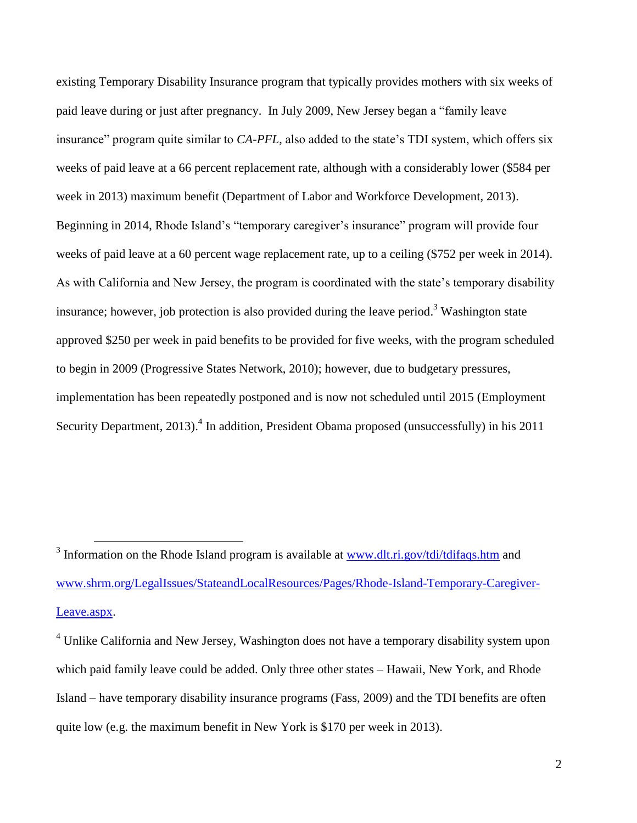existing Temporary Disability Insurance program that typically provides mothers with six weeks of paid leave during or just after pregnancy. In July 2009, New Jersey began a "family leave insurance" program quite similar to *CA-PFL*, also added to the state's TDI system, which offers six weeks of paid leave at a 66 percent replacement rate, although with a considerably lower (\$584 per week in 2013) maximum benefit (Department of Labor and Workforce Development, 2013). Beginning in 2014, Rhode Island's "temporary caregiver's insurance" program will provide four weeks of paid leave at a 60 percent wage replacement rate, up to a ceiling (\$752 per week in 2014). As with California and New Jersey, the program is coordinated with the state's temporary disability insurance; however, job protection is also provided during the leave period.<sup>3</sup> Washington state approved \$250 per week in paid benefits to be provided for five weeks, with the program scheduled to begin in 2009 (Progressive States Network, 2010); however, due to budgetary pressures, implementation has been repeatedly postponed and is now not scheduled until 2015 (Employment Security Department, 2013).<sup>4</sup> In addition, President Obama proposed (unsuccessfully) in his 2011

<sup>&</sup>lt;sup>3</sup> Information on the Rhode Island program is available at [www.dlt.ri.gov/tdi/tdifaqs.htm](http://www.dlt.ri.gov/tdi/tdifaqs.htm) and [www.shrm.org/LegalIssues/StateandLocalResources/Pages/Rhode-Island-Temporary-Caregiver-](http://www.shrm.org/LegalIssues/StateandLocalResources/Pages/Rhode-Island-Temporary-Caregiver-Leave.aspx)[Leave.aspx.](http://www.shrm.org/LegalIssues/StateandLocalResources/Pages/Rhode-Island-Temporary-Caregiver-Leave.aspx)

<sup>&</sup>lt;sup>4</sup> Unlike California and New Jersey, Washington does not have a temporary disability system upon which paid family leave could be added. Only three other states – Hawaii, New York, and Rhode Island – have temporary disability insurance programs (Fass, 2009) and the TDI benefits are often quite low (e.g. the maximum benefit in New York is \$170 per week in 2013).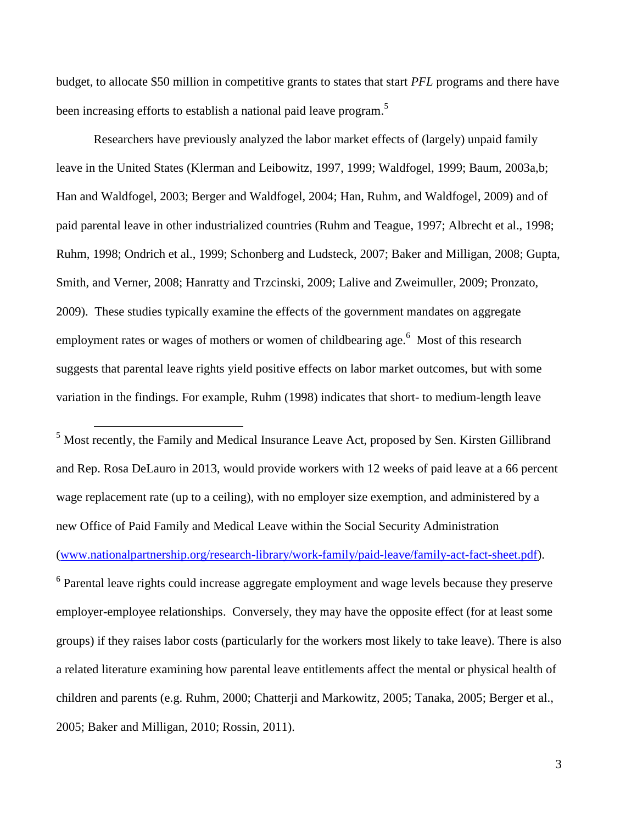budget, to allocate \$50 million in competitive grants to states that start *PFL* programs and there have been increasing efforts to establish a national paid leave program.<sup>5</sup>

Researchers have previously analyzed the labor market effects of (largely) unpaid family leave in the United States (Klerman and Leibowitz, 1997, 1999; Waldfogel, 1999; Baum, 2003a,b; Han and Waldfogel, 2003; Berger and Waldfogel, 2004; Han, Ruhm, and Waldfogel, 2009) and of paid parental leave in other industrialized countries (Ruhm and Teague, 1997; Albrecht et al., 1998; Ruhm, 1998; Ondrich et al., 1999; Schonberg and Ludsteck, 2007; Baker and Milligan, 2008; Gupta, Smith, and Verner, 2008; Hanratty and Trzcinski, 2009; Lalive and Zweimuller, 2009; Pronzato, 2009). These studies typically examine the effects of the government mandates on aggregate employment rates or wages of mothers or women of childbearing age.<sup>6</sup> Most of this research suggests that parental leave rights yield positive effects on labor market outcomes, but with some variation in the findings. For example, Ruhm (1998) indicates that short- to medium-length leave

 $<sup>5</sup>$  Most recently, the Family and Medical Insurance Leave Act, proposed by Sen. Kirsten Gillibrand</sup> and Rep. Rosa DeLauro in 2013, would provide workers with 12 weeks of paid leave at a 66 percent wage replacement rate (up to a ceiling), with no employer size exemption, and administered by a new Office of Paid Family and Medical Leave within the Social Security Administration [\(www.nationalpartnership.org/research-library/work-family/paid-leave/family-act-fact-sheet.pdf\)](http://www.nationalpartnership.org/research-library/work-family/paid-leave/family-act-fact-sheet.pdf).

 $\overline{a}$ 

<sup>6</sup> Parental leave rights could increase aggregate employment and wage levels because they preserve employer-employee relationships. Conversely, they may have the opposite effect (for at least some groups) if they raises labor costs (particularly for the workers most likely to take leave). There is also a related literature examining how parental leave entitlements affect the mental or physical health of children and parents (e.g. Ruhm, 2000; Chatterji and Markowitz, 2005; Tanaka, 2005; Berger et al., 2005; Baker and Milligan, 2010; Rossin, 2011).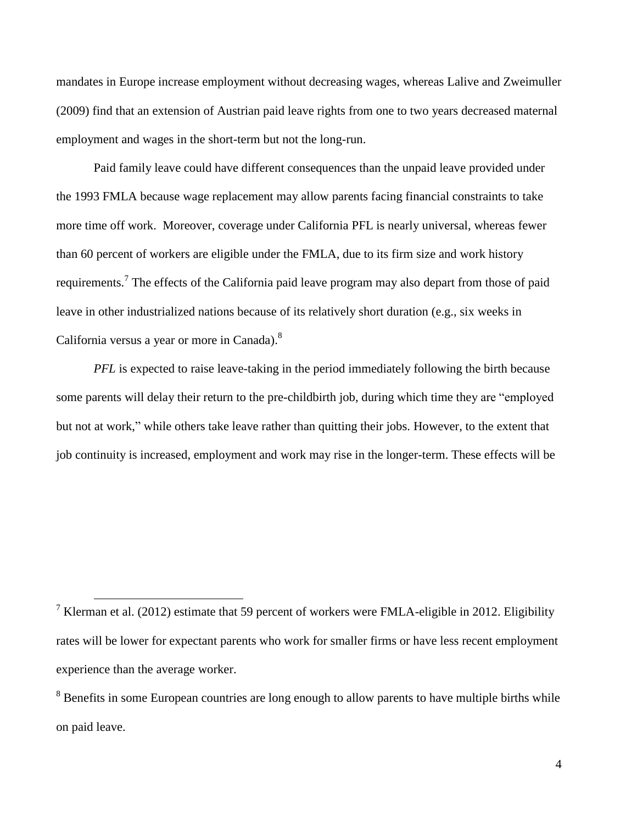mandates in Europe increase employment without decreasing wages, whereas Lalive and Zweimuller (2009) find that an extension of Austrian paid leave rights from one to two years decreased maternal employment and wages in the short-term but not the long-run.

Paid family leave could have different consequences than the unpaid leave provided under the 1993 FMLA because wage replacement may allow parents facing financial constraints to take more time off work. Moreover, coverage under California PFL is nearly universal, whereas fewer than 60 percent of workers are eligible under the FMLA, due to its firm size and work history requirements.<sup>7</sup> The effects of the California paid leave program may also depart from those of paid leave in other industrialized nations because of its relatively short duration (e.g., six weeks in California versus a year or more in Canada).<sup>8</sup>

*PFL* is expected to raise leave-taking in the period immediately following the birth because some parents will delay their return to the pre-childbirth job, during which time they are "employed but not at work," while others take leave rather than quitting their jobs. However, to the extent that job continuity is increased, employment and work may rise in the longer-term. These effects will be

<sup>&</sup>lt;sup>7</sup> Klerman et al. (2012) estimate that 59 percent of workers were FMLA-eligible in 2012. Eligibility rates will be lower for expectant parents who work for smaller firms or have less recent employment experience than the average worker.

<sup>&</sup>lt;sup>8</sup> Benefits in some European countries are long enough to allow parents to have multiple births while on paid leave.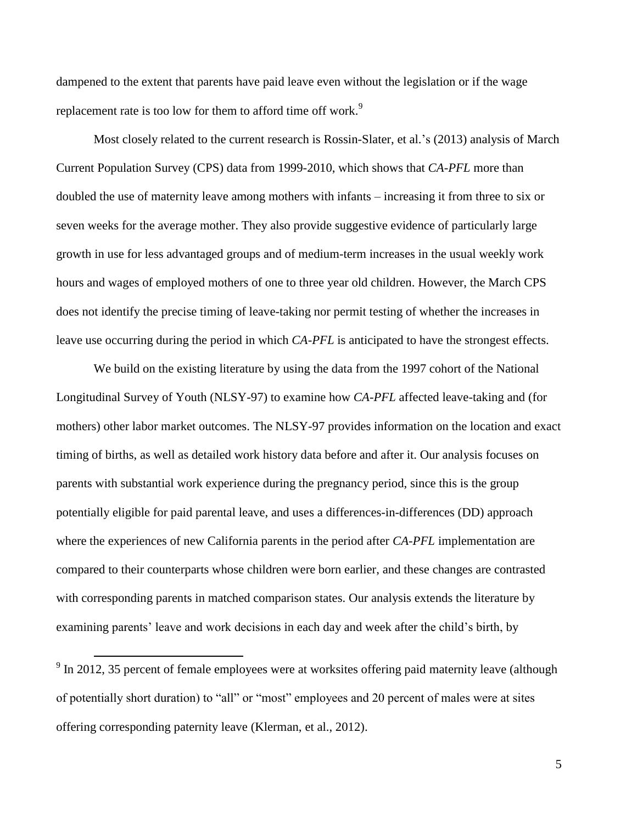dampened to the extent that parents have paid leave even without the legislation or if the wage replacement rate is too low for them to afford time off work.<sup>9</sup>

Most closely related to the current research is Rossin-Slater, et al.'s (2013) analysis of March Current Population Survey (CPS) data from 1999-2010, which shows that *CA-PFL* more than doubled the use of maternity leave among mothers with infants – increasing it from three to six or seven weeks for the average mother. They also provide suggestive evidence of particularly large growth in use for less advantaged groups and of medium-term increases in the usual weekly work hours and wages of employed mothers of one to three year old children. However, the March CPS does not identify the precise timing of leave-taking nor permit testing of whether the increases in leave use occurring during the period in which *CA-PFL* is anticipated to have the strongest effects.

We build on the existing literature by using the data from the 1997 cohort of the National Longitudinal Survey of Youth (NLSY-97) to examine how *CA-PFL* affected leave-taking and (for mothers) other labor market outcomes. The NLSY-97 provides information on the location and exact timing of births, as well as detailed work history data before and after it. Our analysis focuses on parents with substantial work experience during the pregnancy period, since this is the group potentially eligible for paid parental leave, and uses a differences-in-differences (DD) approach where the experiences of new California parents in the period after *CA-PFL* implementation are compared to their counterparts whose children were born earlier, and these changes are contrasted with corresponding parents in matched comparison states. Our analysis extends the literature by examining parents' leave and work decisions in each day and week after the child's birth, by

 $9 \text{ In } 2012$ , 35 percent of female employees were at worksites offering paid maternity leave (although of potentially short duration) to "all" or "most" employees and 20 percent of males were at sites offering corresponding paternity leave (Klerman, et al., 2012).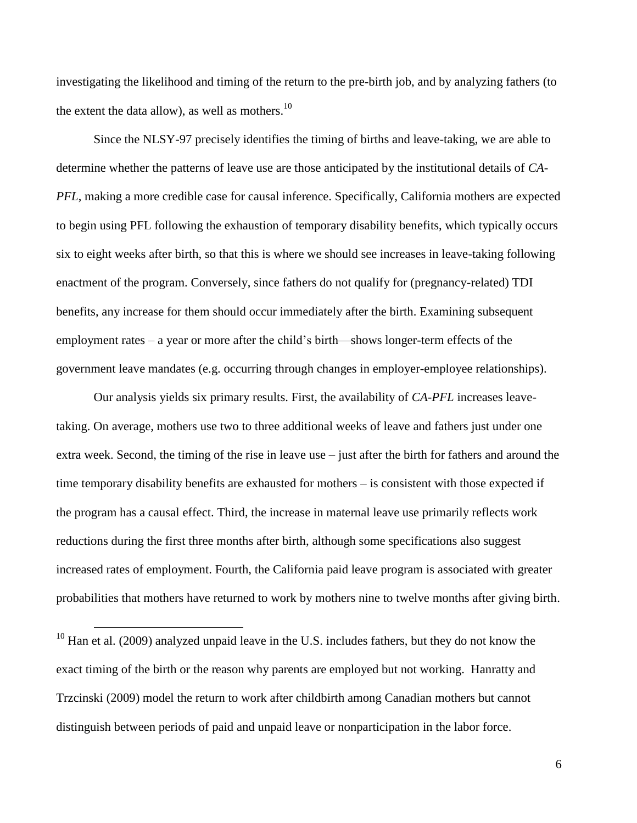investigating the likelihood and timing of the return to the pre-birth job, and by analyzing fathers (to the extent the data allow), as well as mothers.<sup>10</sup>

Since the NLSY-97 precisely identifies the timing of births and leave-taking, we are able to determine whether the patterns of leave use are those anticipated by the institutional details of *CA-PFL*, making a more credible case for causal inference. Specifically, California mothers are expected to begin using PFL following the exhaustion of temporary disability benefits, which typically occurs six to eight weeks after birth, so that this is where we should see increases in leave-taking following enactment of the program. Conversely, since fathers do not qualify for (pregnancy-related) TDI benefits, any increase for them should occur immediately after the birth. Examining subsequent employment rates – a year or more after the child's birth—shows longer-term effects of the government leave mandates (e.g. occurring through changes in employer-employee relationships).

Our analysis yields six primary results. First, the availability of *CA-PFL* increases leavetaking. On average, mothers use two to three additional weeks of leave and fathers just under one extra week. Second, the timing of the rise in leave use – just after the birth for fathers and around the time temporary disability benefits are exhausted for mothers – is consistent with those expected if the program has a causal effect. Third, the increase in maternal leave use primarily reflects work reductions during the first three months after birth, although some specifications also suggest increased rates of employment. Fourth, the California paid leave program is associated with greater probabilities that mothers have returned to work by mothers nine to twelve months after giving birth.

 $10$  Han et al. (2009) analyzed unpaid leave in the U.S. includes fathers, but they do not know the exact timing of the birth or the reason why parents are employed but not working. Hanratty and Trzcinski (2009) model the return to work after childbirth among Canadian mothers but cannot distinguish between periods of paid and unpaid leave or nonparticipation in the labor force.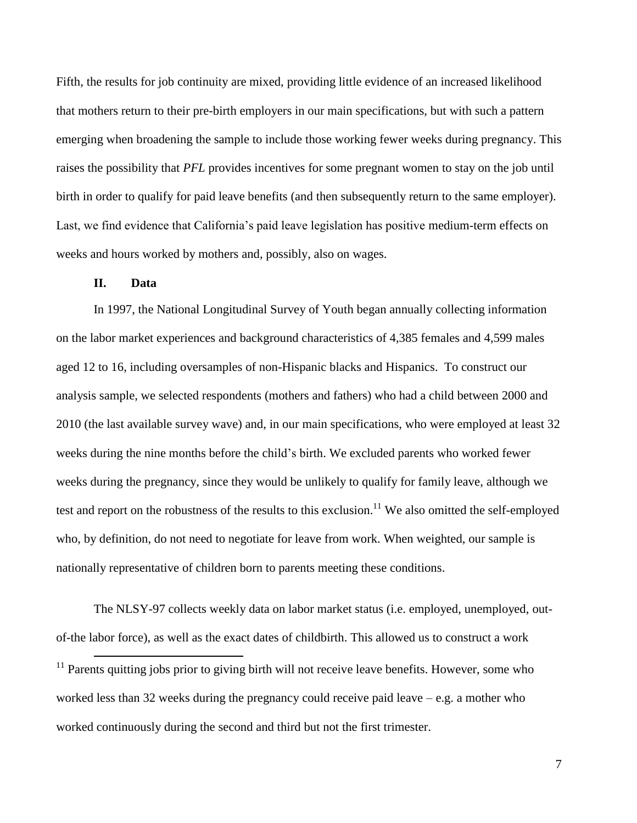Fifth, the results for job continuity are mixed, providing little evidence of an increased likelihood that mothers return to their pre-birth employers in our main specifications, but with such a pattern emerging when broadening the sample to include those working fewer weeks during pregnancy. This raises the possibility that *PFL* provides incentives for some pregnant women to stay on the job until birth in order to qualify for paid leave benefits (and then subsequently return to the same employer). Last, we find evidence that California's paid leave legislation has positive medium-term effects on weeks and hours worked by mothers and, possibly, also on wages.

# **II. Data**

 $\overline{a}$ 

In 1997, the National Longitudinal Survey of Youth began annually collecting information on the labor market experiences and background characteristics of 4,385 females and 4,599 males aged 12 to 16, including oversamples of non-Hispanic blacks and Hispanics. To construct our analysis sample, we selected respondents (mothers and fathers) who had a child between 2000 and 2010 (the last available survey wave) and, in our main specifications, who were employed at least 32 weeks during the nine months before the child's birth. We excluded parents who worked fewer weeks during the pregnancy, since they would be unlikely to qualify for family leave, although we test and report on the robustness of the results to this exclusion.<sup>11</sup> We also omitted the self-employed who, by definition, do not need to negotiate for leave from work. When weighted, our sample is nationally representative of children born to parents meeting these conditions.

The NLSY-97 collects weekly data on labor market status (i.e. employed, unemployed, outof-the labor force), as well as the exact dates of childbirth. This allowed us to construct a work

 $11$  Parents quitting jobs prior to giving birth will not receive leave benefits. However, some who worked less than 32 weeks during the pregnancy could receive paid leave – e.g. a mother who worked continuously during the second and third but not the first trimester.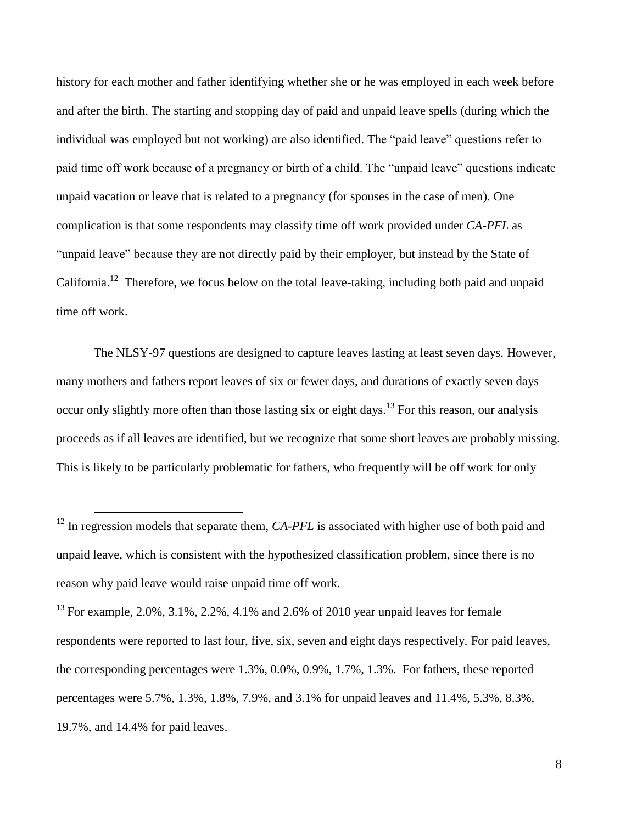history for each mother and father identifying whether she or he was employed in each week before and after the birth. The starting and stopping day of paid and unpaid leave spells (during which the individual was employed but not working) are also identified. The "paid leave" questions refer to paid time off work because of a pregnancy or birth of a child. The "unpaid leave" questions indicate unpaid vacation or leave that is related to a pregnancy (for spouses in the case of men). One complication is that some respondents may classify time off work provided under *CA-PFL* as "unpaid leave" because they are not directly paid by their employer, but instead by the State of California.<sup>12</sup> Therefore, we focus below on the total leave-taking, including both paid and unpaid time off work.

The NLSY-97 questions are designed to capture leaves lasting at least seven days. However, many mothers and fathers report leaves of six or fewer days, and durations of exactly seven days occur only slightly more often than those lasting six or eight days.<sup>13</sup> For this reason, our analysis proceeds as if all leaves are identified, but we recognize that some short leaves are probably missing. This is likely to be particularly problematic for fathers, who frequently will be off work for only

<sup>&</sup>lt;sup>12</sup> In regression models that separate them, *CA-PFL* is associated with higher use of both paid and unpaid leave, which is consistent with the hypothesized classification problem, since there is no reason why paid leave would raise unpaid time off work.

<sup>&</sup>lt;sup>13</sup> For example, 2.0%, 3.1%, 2.2%, 4.1% and 2.6% of 2010 year unpaid leaves for female respondents were reported to last four, five, six, seven and eight days respectively. For paid leaves, the corresponding percentages were 1.3%, 0.0%, 0.9%, 1.7%, 1.3%. For fathers, these reported percentages were 5.7%, 1.3%, 1.8%, 7.9%, and 3.1% for unpaid leaves and 11.4%, 5.3%, 8.3%, 19.7%, and 14.4% for paid leaves.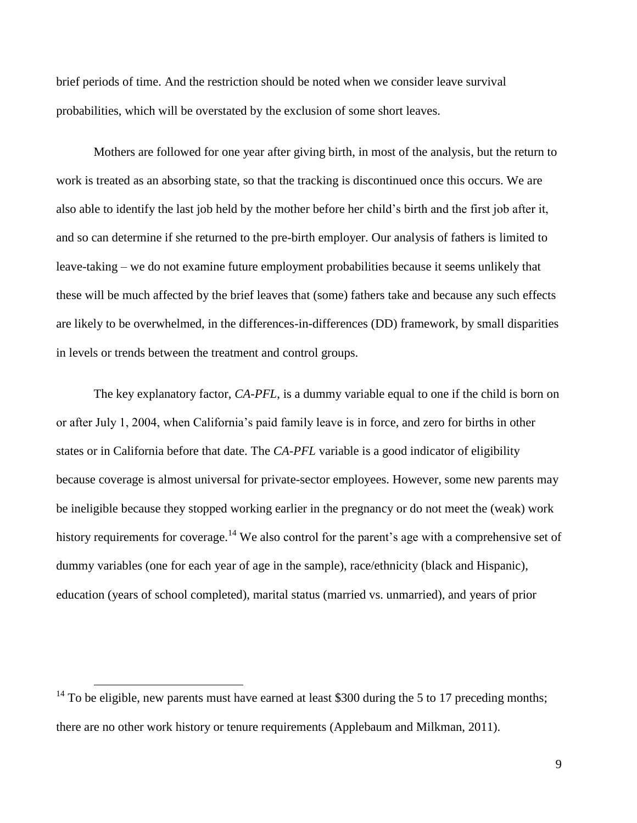brief periods of time. And the restriction should be noted when we consider leave survival probabilities, which will be overstated by the exclusion of some short leaves.

Mothers are followed for one year after giving birth, in most of the analysis, but the return to work is treated as an absorbing state, so that the tracking is discontinued once this occurs. We are also able to identify the last job held by the mother before her child's birth and the first job after it, and so can determine if she returned to the pre-birth employer. Our analysis of fathers is limited to leave-taking – we do not examine future employment probabilities because it seems unlikely that these will be much affected by the brief leaves that (some) fathers take and because any such effects are likely to be overwhelmed, in the differences-in-differences (DD) framework, by small disparities in levels or trends between the treatment and control groups.

The key explanatory factor, *CA-PFL*, is a dummy variable equal to one if the child is born on or after July 1, 2004, when California's paid family leave is in force, and zero for births in other states or in California before that date. The *CA-PFL* variable is a good indicator of eligibility because coverage is almost universal for private-sector employees. However, some new parents may be ineligible because they stopped working earlier in the pregnancy or do not meet the (weak) work history requirements for coverage.<sup>14</sup> We also control for the parent's age with a comprehensive set of dummy variables (one for each year of age in the sample), race/ethnicity (black and Hispanic), education (years of school completed), marital status (married vs. unmarried), and years of prior

<sup>&</sup>lt;sup>14</sup> To be eligible, new parents must have earned at least \$300 during the 5 to 17 preceding months; there are no other work history or tenure requirements (Applebaum and Milkman, 2011).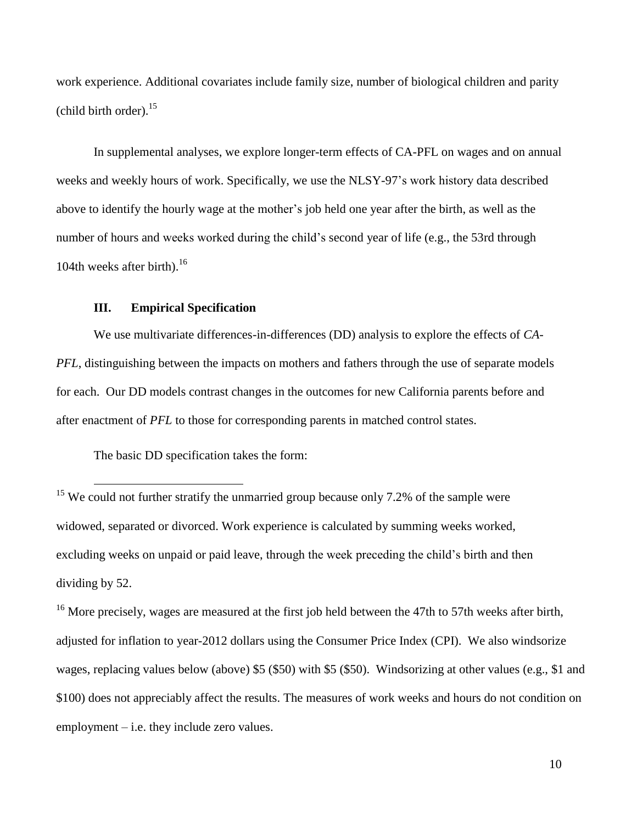work experience. Additional covariates include family size, number of biological children and parity (child birth order). $15$ 

In supplemental analyses, we explore longer-term effects of CA-PFL on wages and on annual weeks and weekly hours of work. Specifically, we use the NLSY-97's work history data described above to identify the hourly wage at the mother's job held one year after the birth, as well as the number of hours and weeks worked during the child's second year of life (e.g., the 53rd through 104th weeks after birth). 16

### **III. Empirical Specification**

We use multivariate differences-in-differences (DD) analysis to explore the effects of *CA-PFL*, distinguishing between the impacts on mothers and fathers through the use of separate models for each. Our DD models contrast changes in the outcomes for new California parents before and after enactment of *PFL* to those for corresponding parents in matched control states.

The basic DD specification takes the form:

 $\overline{a}$ 

<sup>15</sup> We could not further stratify the unmarried group because only 7.2% of the sample were widowed, separated or divorced. Work experience is calculated by summing weeks worked, excluding weeks on unpaid or paid leave, through the week preceding the child's birth and then dividing by 52.

<sup>16</sup> More precisely, wages are measured at the first job held between the 47th to 57th weeks after birth, adjusted for inflation to year-2012 dollars using the Consumer Price Index (CPI). We also windsorize wages, replacing values below (above) \$5 (\$50) with \$5 (\$50). Windsorizing at other values (e.g., \$1 and \$100) does not appreciably affect the results. The measures of work weeks and hours do not condition on employment – i.e. they include zero values.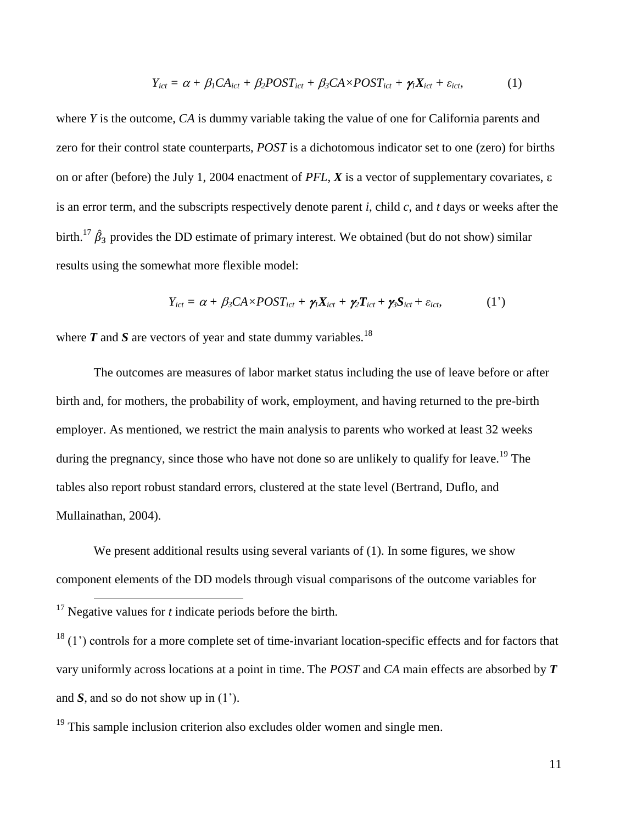$$
Y_{ict} = \alpha + \beta_1 CA_{ict} + \beta_2 POST_{ict} + \beta_3 C A \times POST_{ict} + \gamma_1 X_{ict} + \varepsilon_{ict},
$$
 (1)

where *Y* is the outcome, *CA* is dummy variable taking the value of one for California parents and zero for their control state counterparts, *POST* is a dichotomous indicator set to one (zero) for births on or after (before) the July 1, 2004 enactment of *PFL*,  $\vec{X}$  is a vector of supplementary covariates,  $\varepsilon$ is an error term, and the subscripts respectively denote parent *i*, child *c*, and *t* days or weeks after the birth.<sup>17</sup>  $\hat{\beta}_3$  provides the DD estimate of primary interest. We obtained (but do not show) similar results using the somewhat more flexible model:

$$
Y_{ict} = \alpha + \beta_3 C A \times POST_{ict} + \gamma_1 X_{ict} + \gamma_2 T_{ict} + \gamma_3 S_{ict} + \varepsilon_{ict},
$$
 (1')

where  $T$  and  $S$  are vectors of year and state dummy variables.<sup>18</sup>

The outcomes are measures of labor market status including the use of leave before or after birth and, for mothers, the probability of work, employment, and having returned to the pre-birth employer. As mentioned, we restrict the main analysis to parents who worked at least 32 weeks during the pregnancy, since those who have not done so are unlikely to qualify for leave.<sup>19</sup> The tables also report robust standard errors, clustered at the state level (Bertrand, Duflo, and Mullainathan, 2004).

We present additional results using several variants of (1). In some figures, we show component elements of the DD models through visual comparisons of the outcome variables for

 $\overline{a}$ 

 $19$  This sample inclusion criterion also excludes older women and single men.

<sup>&</sup>lt;sup>17</sup> Negative values for  $t$  indicate periods before the birth.

 $18$  (1) controls for a more complete set of time-invariant location-specific effects and for factors that vary uniformly across locations at a point in time. The *POST* and *CA* main effects are absorbed by *T* and *S*, and so do not show up in (1').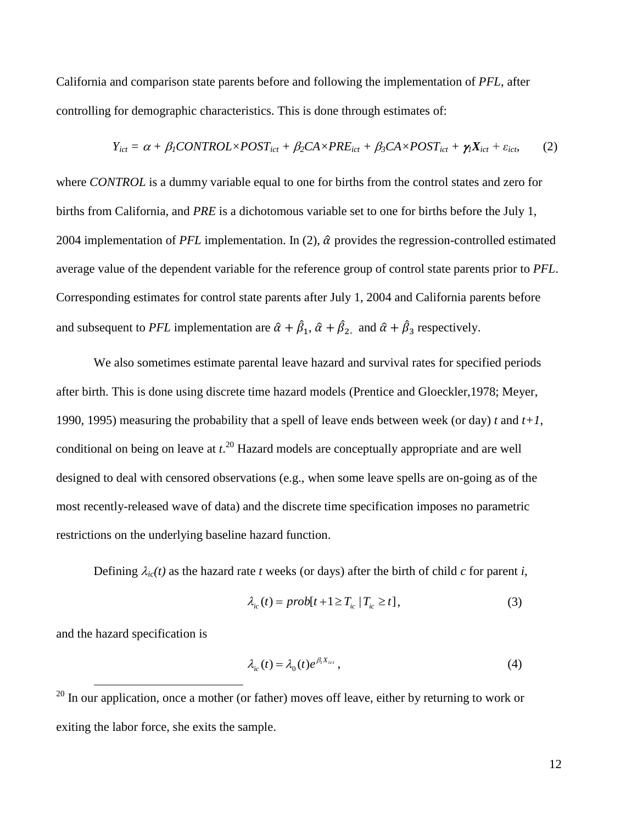California and comparison state parents before and following the implementation of *PFL*, after controlling for demographic characteristics. This is done through estimates of:

$$
Y_{ict} = \alpha + \beta_1 CONTROL \times POST_{ict} + \beta_2 CA \times PRE_{ict} + \beta_3 CA \times POST_{ict} + \gamma_1 X_{ict} + \varepsilon_{ict}
$$
 (2)

where *CONTROL* is a dummy variable equal to one for births from the control states and zero for births from California, and *PRE* is a dichotomous variable set to one for births before the July 1, 2004 implementation of *PFL* implementation. In (2),  $\hat{\alpha}$  provides the regression-controlled estimated average value of the dependent variable for the reference group of control state parents prior to *PFL*. Corresponding estimates for control state parents after July 1, 2004 and California parents before and subsequent to *PFL* implementation are  $\hat{\alpha} + \hat{\beta}_1$ ,  $\hat{\alpha} + \hat{\beta}_2$ , and  $\hat{\alpha} + \hat{\beta}_3$  respectively.

We also sometimes estimate parental leave hazard and survival rates for specified periods after birth. This is done using discrete time hazard models (Prentice and Gloeckler,1978; Meyer, 1990, 1995) measuring the probability that a spell of leave ends between week (or day) *t* and *t+1*, conditional on being on leave at *t*. <sup>20</sup> Hazard models are conceptually appropriate and are well designed to deal with censored observations (e.g., when some leave spells are on-going as of the most recently-released wave of data) and the discrete time specification imposes no parametric restrictions on the underlying baseline hazard function.

Defining  $\lambda_{ic}(t)$  as the hazard rate *t* weeks (or days) after the birth of child *c* for parent *i*,

$$
\lambda_{ic}(t) = prob[t+1 \ge T_{ic} \mid T_{ic} \ge t], \tag{3}
$$

and the hazard specification is

 $\overline{a}$ 

$$
\lambda_{ic}(t) = \lambda_0(t)e^{\beta_i X_{ict}}, \qquad (4)
$$

 $20$  In our application, once a mother (or father) moves off leave, either by returning to work or exiting the labor force, she exits the sample.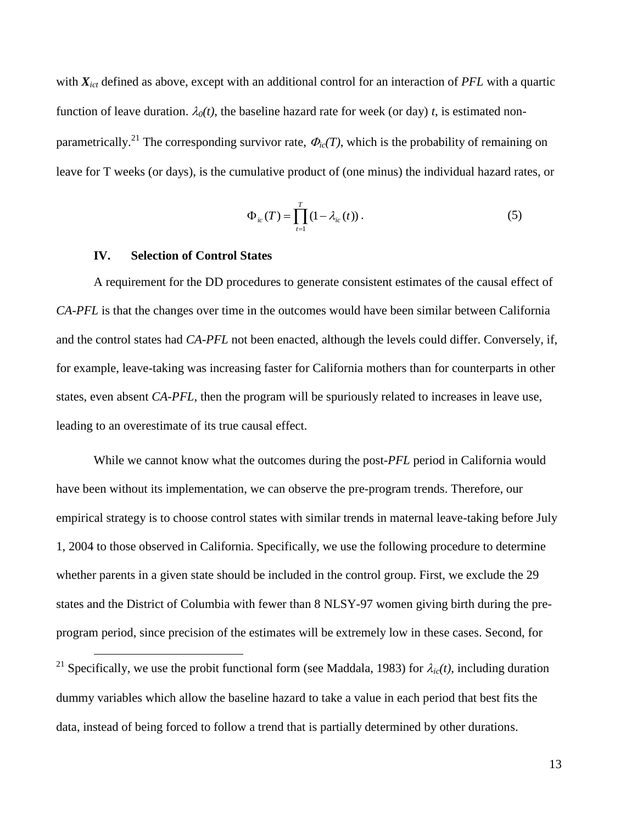with  $X_{ict}$  defined as above, except with an additional control for an interaction of *PFL* with a quartic function of leave duration.  $\lambda_0(t)$ , the baseline hazard rate for week (or day) *t*, is estimated nonparametrically.<sup>21</sup> The corresponding survivor rate,  $\Phi_{ic}(T)$ , which is the probability of remaining on leave for T weeks (or days), is the cumulative product of (one minus) the individual hazard rates, or

$$
\Phi_{ic}(T) = \prod_{t=1}^{T} (1 - \lambda_{ic}(t)).
$$
\n(5)

#### **IV. Selection of Control States**

 $\overline{a}$ 

A requirement for the DD procedures to generate consistent estimates of the causal effect of *CA-PFL* is that the changes over time in the outcomes would have been similar between California and the control states had *CA-PFL* not been enacted, although the levels could differ. Conversely, if, for example, leave-taking was increasing faster for California mothers than for counterparts in other states, even absent *CA-PFL*, then the program will be spuriously related to increases in leave use, leading to an overestimate of its true causal effect.

While we cannot know what the outcomes during the post-*PFL* period in California would have been without its implementation, we can observe the pre-program trends. Therefore, our empirical strategy is to choose control states with similar trends in maternal leave-taking before July 1, 2004 to those observed in California. Specifically, we use the following procedure to determine whether parents in a given state should be included in the control group. First, we exclude the 29 states and the District of Columbia with fewer than 8 NLSY-97 women giving birth during the preprogram period, since precision of the estimates will be extremely low in these cases. Second, for

<sup>&</sup>lt;sup>21</sup> Specifically, we use the probit functional form (see Maddala, 1983) for  $\lambda_{ic}(t)$ , including duration dummy variables which allow the baseline hazard to take a value in each period that best fits the data, instead of being forced to follow a trend that is partially determined by other durations.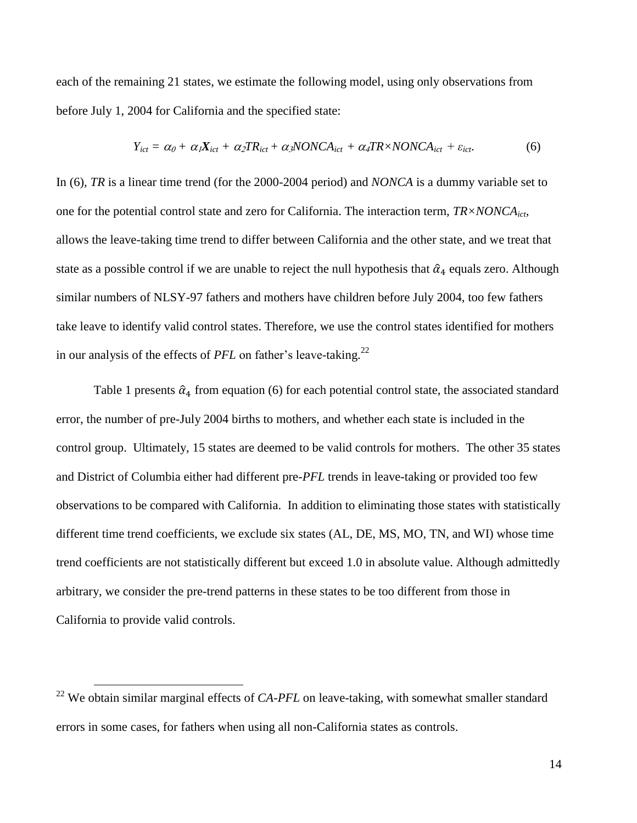each of the remaining 21 states, we estimate the following model, using only observations from before July 1, 2004 for California and the specified state:

$$
Y_{ict} = \alpha_0 + \alpha_1 X_{ict} + \alpha_2 T R_{ict} + \alpha_3 NONCA_{ict} + \alpha_4 T R \times NONCA_{ict} + \varepsilon_{ict}.
$$
 (6)

In (6), *TR* is a linear time trend (for the 2000-2004 period) and *NONCA* is a dummy variable set to one for the potential control state and zero for California. The interaction term, *TR×NONCAict*, allows the leave-taking time trend to differ between California and the other state, and we treat that state as a possible control if we are unable to reject the null hypothesis that  $\hat{\alpha}_4$  equals zero. Although similar numbers of NLSY-97 fathers and mothers have children before July 2004, too few fathers take leave to identify valid control states. Therefore, we use the control states identified for mothers in our analysis of the effects of *PFL* on father's leave-taking.<sup>22</sup>

Table 1 presents  $\hat{\alpha}_4$  from equation (6) for each potential control state, the associated standard error, the number of pre-July 2004 births to mothers, and whether each state is included in the control group. Ultimately, 15 states are deemed to be valid controls for mothers. The other 35 states and District of Columbia either had different pre-*PFL* trends in leave-taking or provided too few observations to be compared with California. In addition to eliminating those states with statistically different time trend coefficients, we exclude six states (AL, DE, MS, MO, TN, and WI) whose time trend coefficients are not statistically different but exceed 1.0 in absolute value. Although admittedly arbitrary, we consider the pre-trend patterns in these states to be too different from those in California to provide valid controls.

<sup>&</sup>lt;sup>22</sup> We obtain similar marginal effects of *CA-PFL* on leave-taking, with somewhat smaller standard errors in some cases, for fathers when using all non-California states as controls.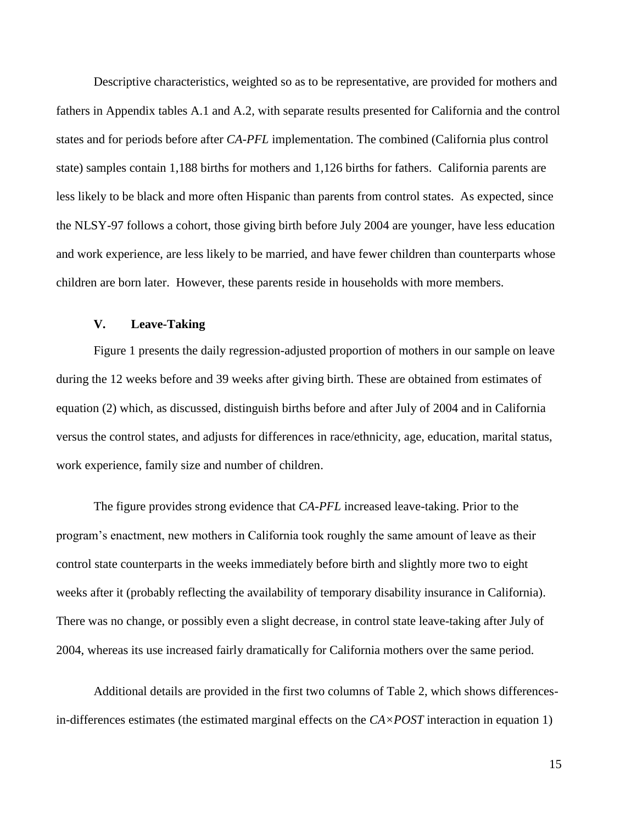Descriptive characteristics, weighted so as to be representative, are provided for mothers and fathers in Appendix tables A.1 and A.2, with separate results presented for California and the control states and for periods before after *CA-PFL* implementation. The combined (California plus control state) samples contain 1,188 births for mothers and 1,126 births for fathers. California parents are less likely to be black and more often Hispanic than parents from control states. As expected, since the NLSY-97 follows a cohort, those giving birth before July 2004 are younger, have less education and work experience, are less likely to be married, and have fewer children than counterparts whose children are born later. However, these parents reside in households with more members.

## **V. Leave-Taking**

Figure 1 presents the daily regression-adjusted proportion of mothers in our sample on leave during the 12 weeks before and 39 weeks after giving birth. These are obtained from estimates of equation (2) which, as discussed, distinguish births before and after July of 2004 and in California versus the control states, and adjusts for differences in race/ethnicity, age, education, marital status, work experience, family size and number of children.

The figure provides strong evidence that *CA-PFL* increased leave-taking. Prior to the program's enactment, new mothers in California took roughly the same amount of leave as their control state counterparts in the weeks immediately before birth and slightly more two to eight weeks after it (probably reflecting the availability of temporary disability insurance in California). There was no change, or possibly even a slight decrease, in control state leave-taking after July of 2004, whereas its use increased fairly dramatically for California mothers over the same period.

Additional details are provided in the first two columns of Table 2, which shows differencesin-differences estimates (the estimated marginal effects on the *CA×POST* interaction in equation 1)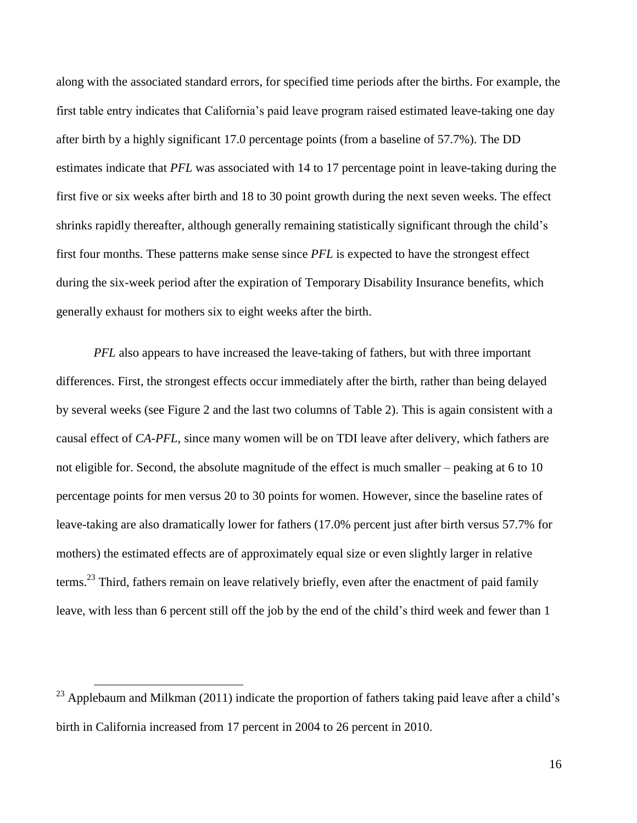along with the associated standard errors, for specified time periods after the births. For example, the first table entry indicates that California's paid leave program raised estimated leave-taking one day after birth by a highly significant 17.0 percentage points (from a baseline of 57.7%). The DD estimates indicate that *PFL* was associated with 14 to 17 percentage point in leave-taking during the first five or six weeks after birth and 18 to 30 point growth during the next seven weeks. The effect shrinks rapidly thereafter, although generally remaining statistically significant through the child's first four months. These patterns make sense since *PFL* is expected to have the strongest effect during the six-week period after the expiration of Temporary Disability Insurance benefits, which generally exhaust for mothers six to eight weeks after the birth.

*PFL* also appears to have increased the leave-taking of fathers, but with three important differences. First, the strongest effects occur immediately after the birth, rather than being delayed by several weeks (see Figure 2 and the last two columns of Table 2). This is again consistent with a causal effect of *CA-PFL*, since many women will be on TDI leave after delivery, which fathers are not eligible for. Second, the absolute magnitude of the effect is much smaller – peaking at 6 to 10 percentage points for men versus 20 to 30 points for women. However, since the baseline rates of leave-taking are also dramatically lower for fathers (17.0% percent just after birth versus 57.7% for mothers) the estimated effects are of approximately equal size or even slightly larger in relative terms.<sup>23</sup> Third, fathers remain on leave relatively briefly, even after the enactment of paid family leave, with less than 6 percent still off the job by the end of the child's third week and fewer than 1

<sup>&</sup>lt;sup>23</sup> Applebaum and Milkman (2011) indicate the proportion of fathers taking paid leave after a child's birth in California increased from 17 percent in 2004 to 26 percent in 2010.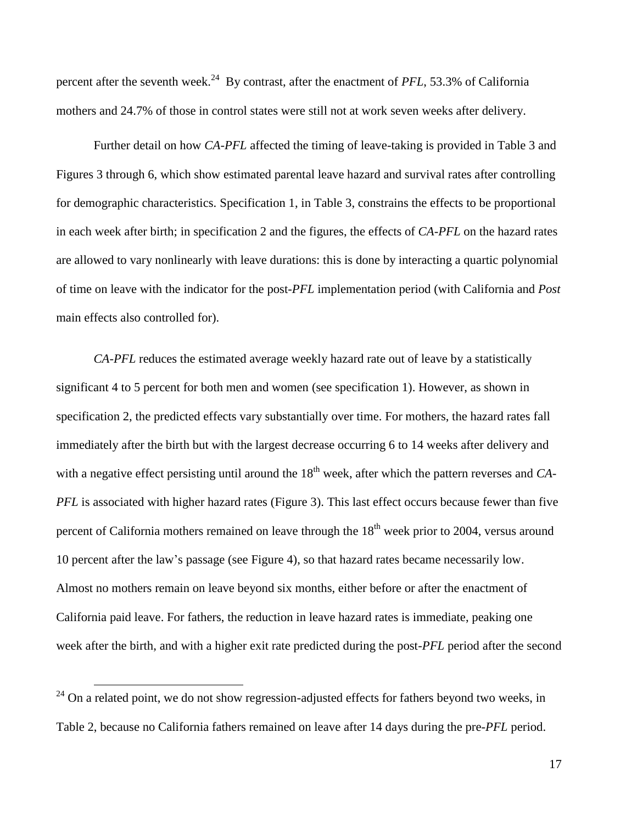percent after the seventh week.<sup>24</sup> By contrast, after the enactment of *PFL*, 53.3% of California mothers and 24.7% of those in control states were still not at work seven weeks after delivery.

Further detail on how *CA-PFL* affected the timing of leave-taking is provided in Table 3 and Figures 3 through 6, which show estimated parental leave hazard and survival rates after controlling for demographic characteristics. Specification 1, in Table 3, constrains the effects to be proportional in each week after birth; in specification 2 and the figures, the effects of *CA-PFL* on the hazard rates are allowed to vary nonlinearly with leave durations: this is done by interacting a quartic polynomial of time on leave with the indicator for the post-*PFL* implementation period (with California and *Post* main effects also controlled for).

*CA-PFL* reduces the estimated average weekly hazard rate out of leave by a statistically significant 4 to 5 percent for both men and women (see specification 1). However, as shown in specification 2, the predicted effects vary substantially over time. For mothers, the hazard rates fall immediately after the birth but with the largest decrease occurring 6 to 14 weeks after delivery and with a negative effect persisting until around the 18<sup>th</sup> week, after which the pattern reverses and *CA*-*PFL* is associated with higher hazard rates (Figure 3). This last effect occurs because fewer than five percent of California mothers remained on leave through the  $18<sup>th</sup>$  week prior to 2004, versus around 10 percent after the law's passage (see Figure 4), so that hazard rates became necessarily low. Almost no mothers remain on leave beyond six months, either before or after the enactment of California paid leave. For fathers, the reduction in leave hazard rates is immediate, peaking one week after the birth, and with a higher exit rate predicted during the post-*PFL* period after the second

 $24$  On a related point, we do not show regression-adjusted effects for fathers beyond two weeks, in Table 2, because no California fathers remained on leave after 14 days during the pre-*PFL* period.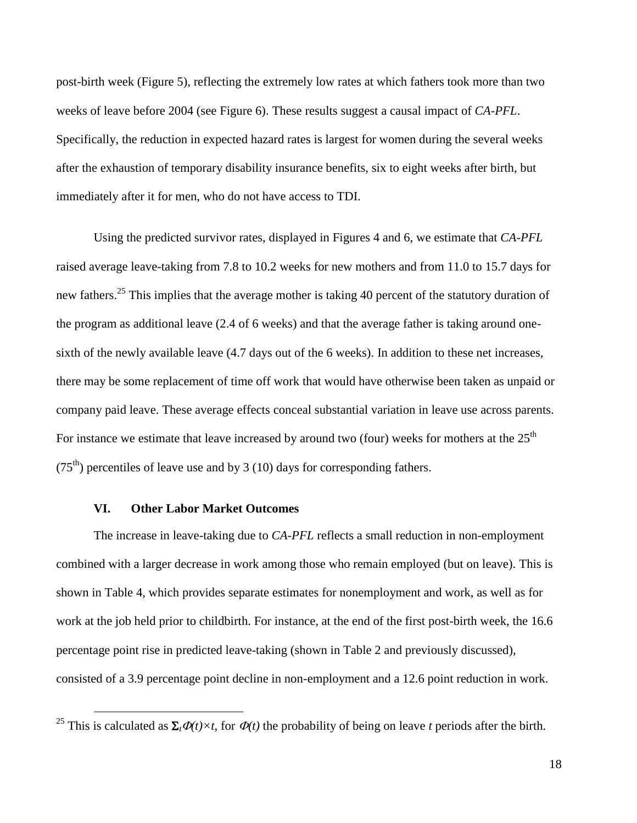post-birth week (Figure 5), reflecting the extremely low rates at which fathers took more than two weeks of leave before 2004 (see Figure 6). These results suggest a causal impact of *CA-PFL*. Specifically, the reduction in expected hazard rates is largest for women during the several weeks after the exhaustion of temporary disability insurance benefits, six to eight weeks after birth, but immediately after it for men, who do not have access to TDI.

Using the predicted survivor rates, displayed in Figures 4 and 6, we estimate that *CA-PFL* raised average leave-taking from 7.8 to 10.2 weeks for new mothers and from 11.0 to 15.7 days for new fathers.<sup>25</sup> This implies that the average mother is taking 40 percent of the statutory duration of the program as additional leave (2.4 of 6 weeks) and that the average father is taking around onesixth of the newly available leave (4.7 days out of the 6 weeks). In addition to these net increases, there may be some replacement of time off work that would have otherwise been taken as unpaid or company paid leave. These average effects conceal substantial variation in leave use across parents. For instance we estimate that leave increased by around two (four) weeks for mothers at the  $25<sup>th</sup>$  $(75<sup>th</sup>)$  percentiles of leave use and by 3 (10) days for corresponding fathers.

### **VI. Other Labor Market Outcomes**

 $\overline{a}$ 

The increase in leave-taking due to *CA-PFL* reflects a small reduction in non-employment combined with a larger decrease in work among those who remain employed (but on leave). This is shown in Table 4, which provides separate estimates for nonemployment and work, as well as for work at the job held prior to childbirth. For instance, at the end of the first post-birth week, the 16.6 percentage point rise in predicted leave-taking (shown in Table 2 and previously discussed), consisted of a 3.9 percentage point decline in non-employment and a 12.6 point reduction in work.

<sup>&</sup>lt;sup>25</sup> This is calculated as  $\Sigma_t \Phi(t) \times t$ , for  $\Phi(t)$  the probability of being on leave *t* periods after the birth.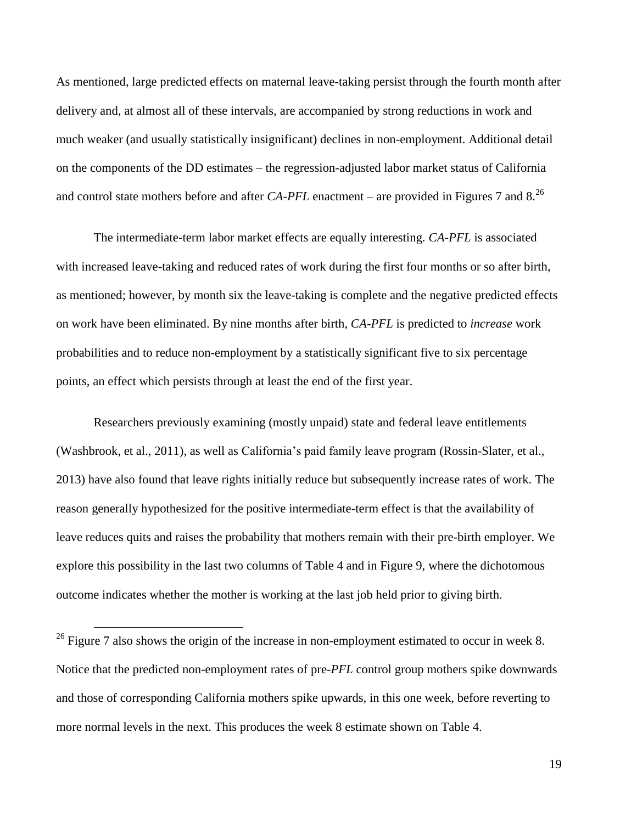As mentioned, large predicted effects on maternal leave-taking persist through the fourth month after delivery and, at almost all of these intervals, are accompanied by strong reductions in work and much weaker (and usually statistically insignificant) declines in non-employment. Additional detail on the components of the DD estimates – the regression-adjusted labor market status of California and control state mothers before and after *CA-PFL* enactment – are provided in Figures 7 and 8.<sup>26</sup>

The intermediate-term labor market effects are equally interesting. *CA-PFL* is associated with increased leave-taking and reduced rates of work during the first four months or so after birth, as mentioned; however, by month six the leave-taking is complete and the negative predicted effects on work have been eliminated. By nine months after birth, *CA-PFL* is predicted to *increase* work probabilities and to reduce non-employment by a statistically significant five to six percentage points, an effect which persists through at least the end of the first year.

Researchers previously examining (mostly unpaid) state and federal leave entitlements (Washbrook, et al., 2011), as well as California's paid family leave program (Rossin-Slater, et al., 2013) have also found that leave rights initially reduce but subsequently increase rates of work. The reason generally hypothesized for the positive intermediate-term effect is that the availability of leave reduces quits and raises the probability that mothers remain with their pre-birth employer. We explore this possibility in the last two columns of Table 4 and in Figure 9, where the dichotomous outcome indicates whether the mother is working at the last job held prior to giving birth.

<sup>&</sup>lt;sup>26</sup> Figure 7 also shows the origin of the increase in non-employment estimated to occur in week 8. Notice that the predicted non-employment rates of pre-*PFL* control group mothers spike downwards and those of corresponding California mothers spike upwards, in this one week, before reverting to more normal levels in the next. This produces the week 8 estimate shown on Table 4.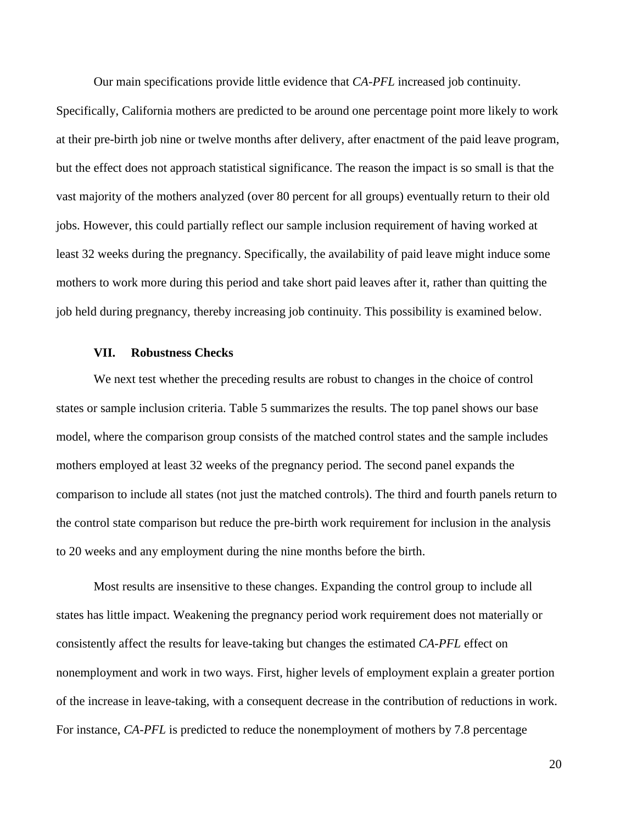Our main specifications provide little evidence that *CA-PFL* increased job continuity.

Specifically, California mothers are predicted to be around one percentage point more likely to work at their pre-birth job nine or twelve months after delivery, after enactment of the paid leave program, but the effect does not approach statistical significance. The reason the impact is so small is that the vast majority of the mothers analyzed (over 80 percent for all groups) eventually return to their old jobs. However, this could partially reflect our sample inclusion requirement of having worked at least 32 weeks during the pregnancy. Specifically, the availability of paid leave might induce some mothers to work more during this period and take short paid leaves after it, rather than quitting the job held during pregnancy, thereby increasing job continuity. This possibility is examined below.

#### **VII. Robustness Checks**

We next test whether the preceding results are robust to changes in the choice of control states or sample inclusion criteria. Table 5 summarizes the results. The top panel shows our base model, where the comparison group consists of the matched control states and the sample includes mothers employed at least 32 weeks of the pregnancy period. The second panel expands the comparison to include all states (not just the matched controls). The third and fourth panels return to the control state comparison but reduce the pre-birth work requirement for inclusion in the analysis to 20 weeks and any employment during the nine months before the birth.

Most results are insensitive to these changes. Expanding the control group to include all states has little impact. Weakening the pregnancy period work requirement does not materially or consistently affect the results for leave-taking but changes the estimated *CA-PFL* effect on nonemployment and work in two ways. First, higher levels of employment explain a greater portion of the increase in leave-taking, with a consequent decrease in the contribution of reductions in work. For instance, *CA-PFL* is predicted to reduce the nonemployment of mothers by 7.8 percentage

20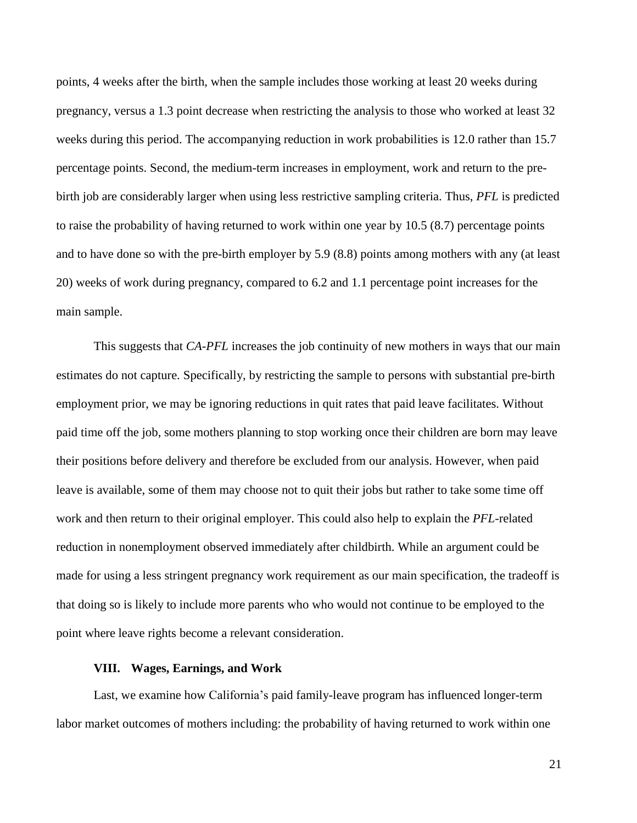points, 4 weeks after the birth, when the sample includes those working at least 20 weeks during pregnancy, versus a 1.3 point decrease when restricting the analysis to those who worked at least 32 weeks during this period. The accompanying reduction in work probabilities is 12.0 rather than 15.7 percentage points. Second, the medium-term increases in employment, work and return to the prebirth job are considerably larger when using less restrictive sampling criteria. Thus, *PFL* is predicted to raise the probability of having returned to work within one year by 10.5 (8.7) percentage points and to have done so with the pre-birth employer by 5.9 (8.8) points among mothers with any (at least 20) weeks of work during pregnancy, compared to 6.2 and 1.1 percentage point increases for the main sample.

This suggests that *CA-PFL* increases the job continuity of new mothers in ways that our main estimates do not capture. Specifically, by restricting the sample to persons with substantial pre-birth employment prior, we may be ignoring reductions in quit rates that paid leave facilitates. Without paid time off the job, some mothers planning to stop working once their children are born may leave their positions before delivery and therefore be excluded from our analysis. However, when paid leave is available, some of them may choose not to quit their jobs but rather to take some time off work and then return to their original employer. This could also help to explain the *PFL*-related reduction in nonemployment observed immediately after childbirth. While an argument could be made for using a less stringent pregnancy work requirement as our main specification, the tradeoff is that doing so is likely to include more parents who who would not continue to be employed to the point where leave rights become a relevant consideration.

## **VIII. Wages, Earnings, and Work**

Last, we examine how California's paid family-leave program has influenced longer-term labor market outcomes of mothers including: the probability of having returned to work within one

21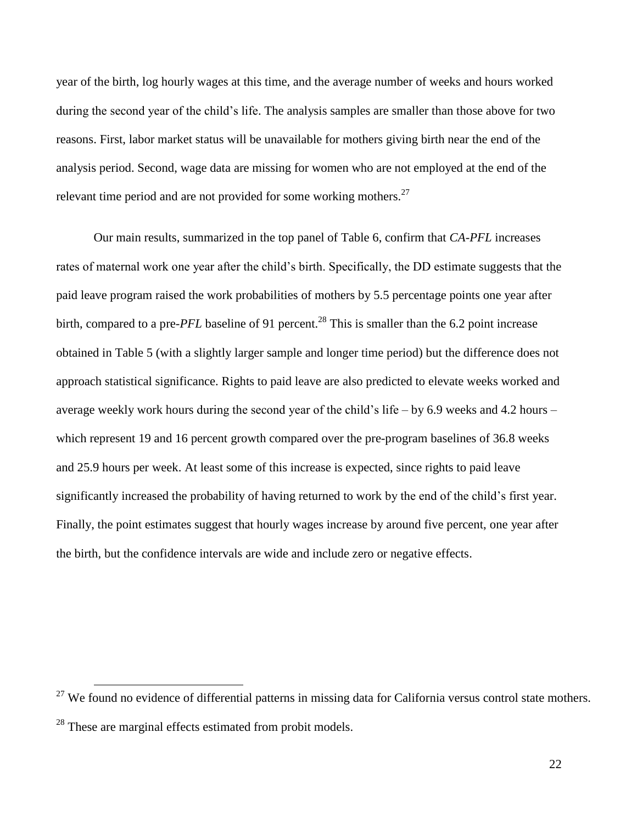year of the birth, log hourly wages at this time, and the average number of weeks and hours worked during the second year of the child's life. The analysis samples are smaller than those above for two reasons. First, labor market status will be unavailable for mothers giving birth near the end of the analysis period. Second, wage data are missing for women who are not employed at the end of the relevant time period and are not provided for some working mothers.<sup>27</sup>

Our main results, summarized in the top panel of Table 6, confirm that *CA-PFL* increases rates of maternal work one year after the child's birth. Specifically, the DD estimate suggests that the paid leave program raised the work probabilities of mothers by 5.5 percentage points one year after birth, compared to a pre-*PFL* baseline of 91 percent.<sup>28</sup> This is smaller than the 6.2 point increase obtained in Table 5 (with a slightly larger sample and longer time period) but the difference does not approach statistical significance. Rights to paid leave are also predicted to elevate weeks worked and average weekly work hours during the second year of the child's life – by 6.9 weeks and 4.2 hours – which represent 19 and 16 percent growth compared over the pre-program baselines of 36.8 weeks and 25.9 hours per week. At least some of this increase is expected, since rights to paid leave significantly increased the probability of having returned to work by the end of the child's first year. Finally, the point estimates suggest that hourly wages increase by around five percent, one year after the birth, but the confidence intervals are wide and include zero or negative effects.

 $27$  We found no evidence of differential patterns in missing data for California versus control state mothers. <sup>28</sup> These are marginal effects estimated from probit models.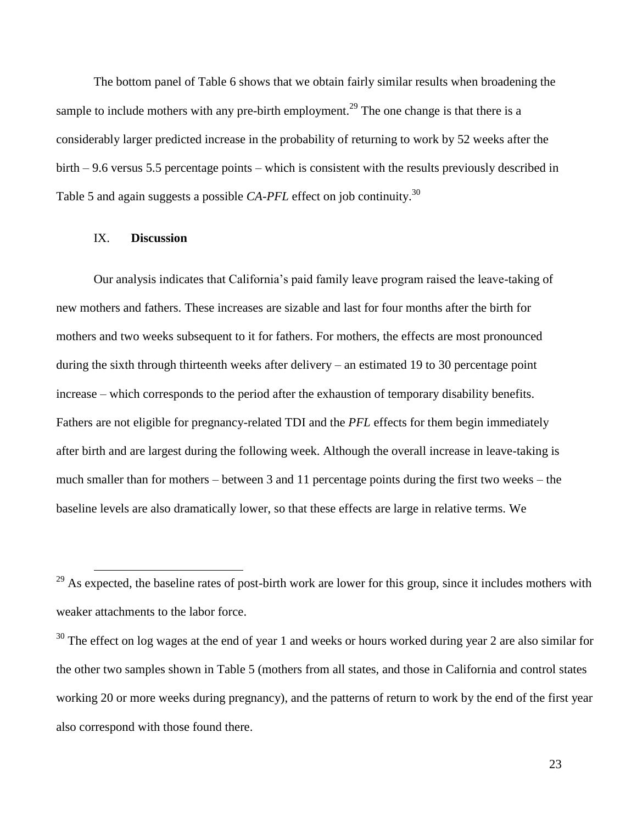The bottom panel of Table 6 shows that we obtain fairly similar results when broadening the sample to include mothers with any pre-birth employment.<sup>29</sup> The one change is that there is a considerably larger predicted increase in the probability of returning to work by 52 weeks after the birth – 9.6 versus 5.5 percentage points – which is consistent with the results previously described in Table 5 and again suggests a possible *CA-PFL* effect on job continuity.<sup>30</sup>

#### IX. **Discussion**

 $\overline{a}$ 

Our analysis indicates that California's paid family leave program raised the leave-taking of new mothers and fathers. These increases are sizable and last for four months after the birth for mothers and two weeks subsequent to it for fathers. For mothers, the effects are most pronounced during the sixth through thirteenth weeks after delivery – an estimated 19 to 30 percentage point increase – which corresponds to the period after the exhaustion of temporary disability benefits. Fathers are not eligible for pregnancy-related TDI and the *PFL* effects for them begin immediately after birth and are largest during the following week. Although the overall increase in leave-taking is much smaller than for mothers – between 3 and 11 percentage points during the first two weeks – the baseline levels are also dramatically lower, so that these effects are large in relative terms. We

<sup>&</sup>lt;sup>29</sup> As expected, the baseline rates of post-birth work are lower for this group, since it includes mothers with weaker attachments to the labor force.

 $30$  The effect on log wages at the end of year 1 and weeks or hours worked during year 2 are also similar for the other two samples shown in Table 5 (mothers from all states, and those in California and control states working 20 or more weeks during pregnancy), and the patterns of return to work by the end of the first year also correspond with those found there.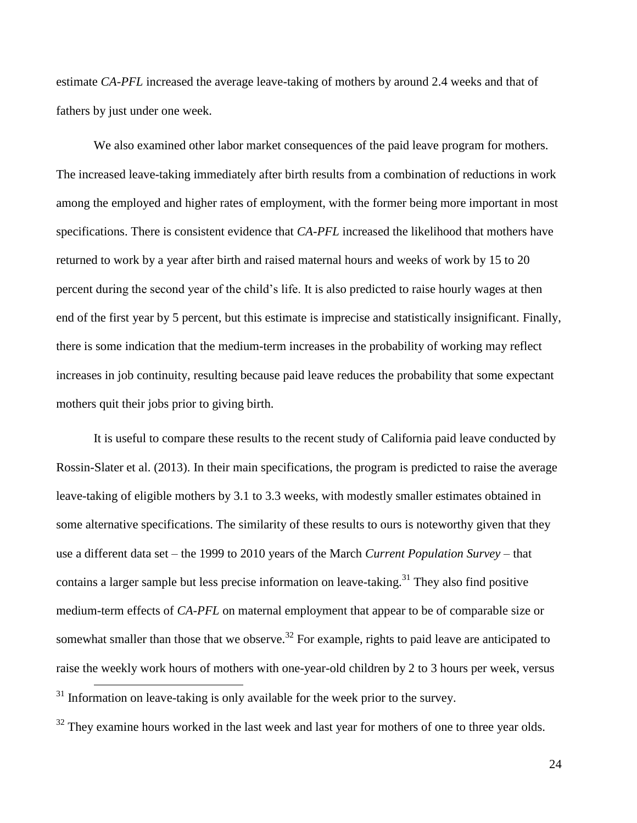estimate *CA-PFL* increased the average leave-taking of mothers by around 2.4 weeks and that of fathers by just under one week.

We also examined other labor market consequences of the paid leave program for mothers. The increased leave-taking immediately after birth results from a combination of reductions in work among the employed and higher rates of employment, with the former being more important in most specifications. There is consistent evidence that *CA-PFL* increased the likelihood that mothers have returned to work by a year after birth and raised maternal hours and weeks of work by 15 to 20 percent during the second year of the child's life. It is also predicted to raise hourly wages at then end of the first year by 5 percent, but this estimate is imprecise and statistically insignificant. Finally, there is some indication that the medium-term increases in the probability of working may reflect increases in job continuity, resulting because paid leave reduces the probability that some expectant mothers quit their jobs prior to giving birth.

It is useful to compare these results to the recent study of California paid leave conducted by Rossin-Slater et al. (2013). In their main specifications, the program is predicted to raise the average leave-taking of eligible mothers by 3.1 to 3.3 weeks, with modestly smaller estimates obtained in some alternative specifications. The similarity of these results to ours is noteworthy given that they use a different data set – the 1999 to 2010 years of the March *Current Population Survey* – that contains a larger sample but less precise information on leave-taking.<sup>31</sup> They also find positive medium-term effects of *CA-PFL* on maternal employment that appear to be of comparable size or somewhat smaller than those that we observe.<sup>32</sup> For example, rights to paid leave are anticipated to raise the weekly work hours of mothers with one-year-old children by 2 to 3 hours per week, versus  $\overline{a}$  $31$  Information on leave-taking is only available for the week prior to the survey.

<sup>32</sup> They examine hours worked in the last week and last year for mothers of one to three year olds.

24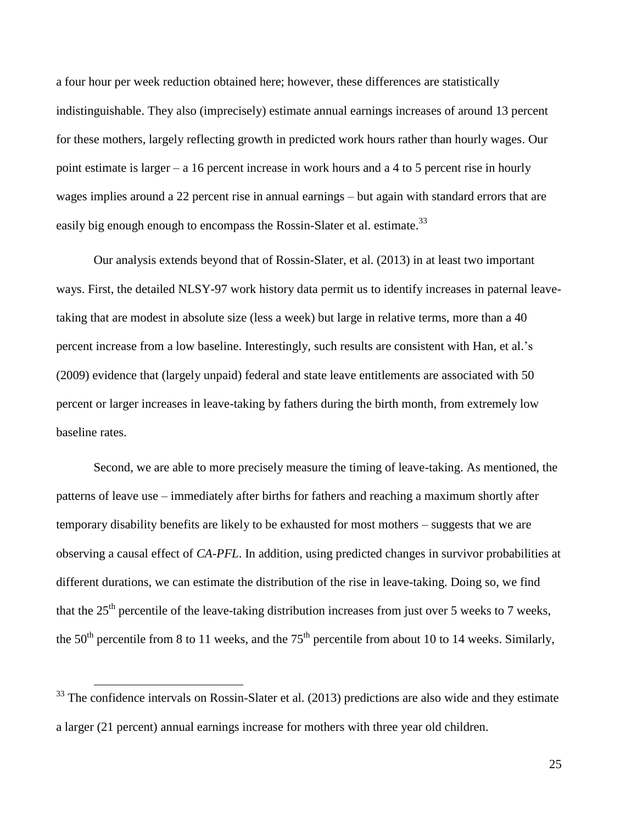a four hour per week reduction obtained here; however, these differences are statistically indistinguishable. They also (imprecisely) estimate annual earnings increases of around 13 percent for these mothers, largely reflecting growth in predicted work hours rather than hourly wages. Our point estimate is larger – a 16 percent increase in work hours and a 4 to 5 percent rise in hourly wages implies around a 22 percent rise in annual earnings – but again with standard errors that are easily big enough enough to encompass the Rossin-Slater et al. estimate.<sup>33</sup>

Our analysis extends beyond that of Rossin-Slater, et al. (2013) in at least two important ways. First, the detailed NLSY-97 work history data permit us to identify increases in paternal leavetaking that are modest in absolute size (less a week) but large in relative terms, more than a 40 percent increase from a low baseline. Interestingly, such results are consistent with Han, et al.'s (2009) evidence that (largely unpaid) federal and state leave entitlements are associated with 50 percent or larger increases in leave-taking by fathers during the birth month, from extremely low baseline rates.

Second, we are able to more precisely measure the timing of leave-taking. As mentioned, the patterns of leave use – immediately after births for fathers and reaching a maximum shortly after temporary disability benefits are likely to be exhausted for most mothers – suggests that we are observing a causal effect of *CA-PFL*. In addition, using predicted changes in survivor probabilities at different durations, we can estimate the distribution of the rise in leave-taking. Doing so, we find that the  $25<sup>th</sup>$  percentile of the leave-taking distribution increases from just over 5 weeks to 7 weeks, the  $50<sup>th</sup>$  percentile from 8 to 11 weeks, and the  $75<sup>th</sup>$  percentile from about 10 to 14 weeks. Similarly,

 $\overline{a}$ 

25

 $33$  The confidence intervals on Rossin-Slater et al. (2013) predictions are also wide and they estimate a larger (21 percent) annual earnings increase for mothers with three year old children.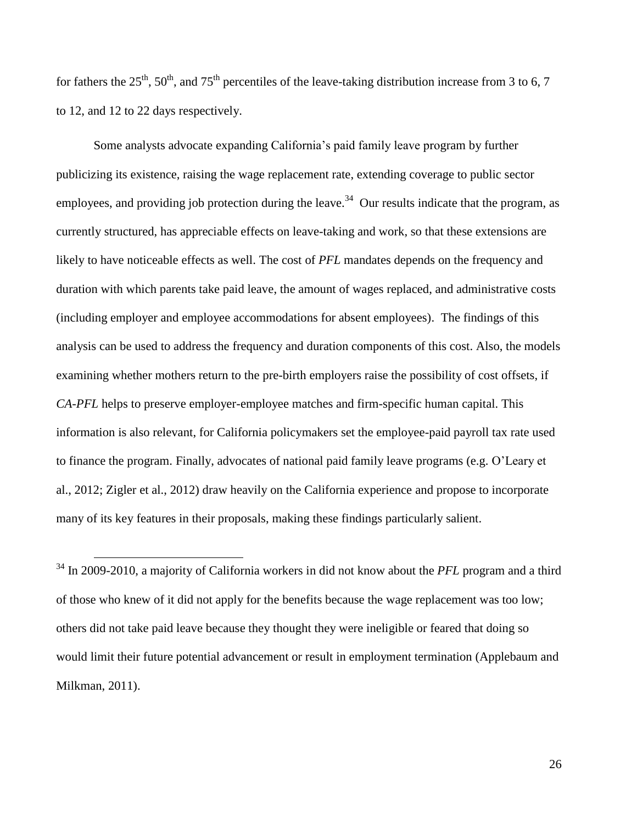for fathers the 25<sup>th</sup>, 50<sup>th</sup>, and 75<sup>th</sup> percentiles of the leave-taking distribution increase from 3 to 6, 7 to 12, and 12 to 22 days respectively.

Some analysts advocate expanding California's paid family leave program by further publicizing its existence, raising the wage replacement rate, extending coverage to public sector employees, and providing job protection during the leave.<sup>34</sup> Our results indicate that the program, as currently structured, has appreciable effects on leave-taking and work, so that these extensions are likely to have noticeable effects as well. The cost of *PFL* mandates depends on the frequency and duration with which parents take paid leave, the amount of wages replaced, and administrative costs (including employer and employee accommodations for absent employees). The findings of this analysis can be used to address the frequency and duration components of this cost. Also, the models examining whether mothers return to the pre-birth employers raise the possibility of cost offsets, if *CA-PFL* helps to preserve employer-employee matches and firm-specific human capital. This information is also relevant, for California policymakers set the employee-paid payroll tax rate used to finance the program. Finally, advocates of national paid family leave programs (e.g. O'Leary et al., 2012; Zigler et al., 2012) draw heavily on the California experience and propose to incorporate many of its key features in their proposals, making these findings particularly salient.

<sup>34</sup> In 2009-2010, a majority of California workers in did not know about the *PFL* program and a third of those who knew of it did not apply for the benefits because the wage replacement was too low; others did not take paid leave because they thought they were ineligible or feared that doing so would limit their future potential advancement or result in employment termination (Applebaum and Milkman, 2011).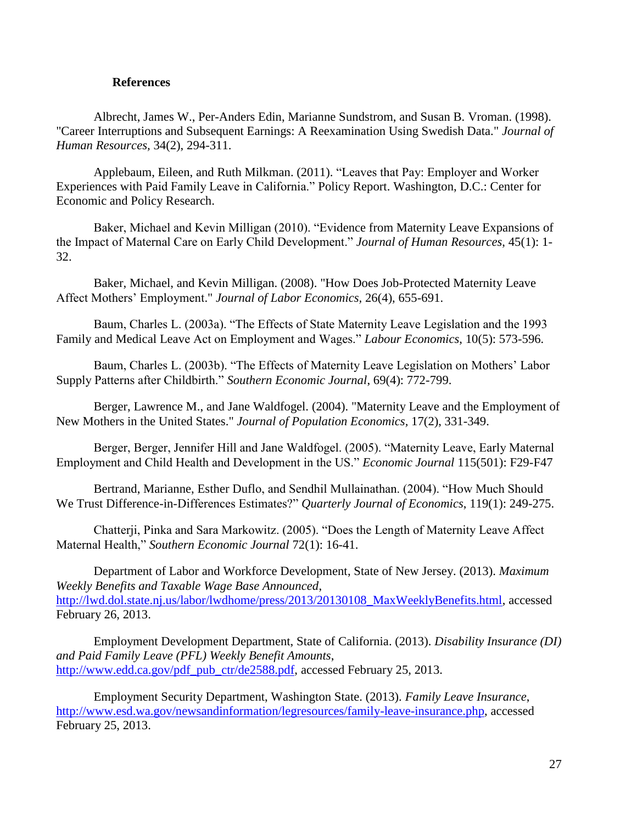## **References**

Albrecht, James W., Per-Anders Edin, Marianne Sundstrom, and Susan B. Vroman. (1998). "Career Interruptions and Subsequent Earnings: A Reexamination Using Swedish Data." *Journal of Human Resources,* 34(2), 294-311.

Applebaum, Eileen, and Ruth Milkman. (2011). "Leaves that Pay: Employer and Worker Experiences with Paid Family Leave in California." Policy Report. Washington, D.C.: Center for Economic and Policy Research.

Baker, Michael and Kevin Milligan (2010). "Evidence from Maternity Leave Expansions of the Impact of Maternal Care on Early Child Development." *Journal of Human Resources*, 45(1): 1- 32.

Baker, Michael, and Kevin Milligan. (2008). "How Does Job-Protected Maternity Leave Affect Mothers' Employment." *Journal of Labor Economics,* 26(4), 655-691.

Baum, Charles L. (2003a). "The Effects of State Maternity Leave Legislation and the 1993 Family and Medical Leave Act on Employment and Wages." *Labour Economics*, 10(5): 573-596.

Baum, Charles L. (2003b). "The Effects of Maternity Leave Legislation on Mothers' Labor Supply Patterns after Childbirth." *Southern Economic Journal*, 69(4): 772-799.

Berger, Lawrence M., and Jane Waldfogel. (2004). "Maternity Leave and the Employment of New Mothers in the United States." *Journal of Population Economics,* 17(2), 331-349.

Berger, Berger, Jennifer Hill and Jane Waldfogel. (2005). "Maternity Leave, Early Maternal Employment and Child Health and Development in the US." *Economic Journal* 115(501): F29-F47

Bertrand, Marianne, Esther Duflo, and Sendhil Mullainathan. (2004). "How Much Should We Trust Difference-in-Differences Estimates?" *Quarterly Journal of Economics*, 119(1): 249-275.

Chatterji, Pinka and Sara Markowitz. (2005). "Does the Length of Maternity Leave Affect Maternal Health," *Southern Economic Journal* 72(1): 16-41.

Department of Labor and Workforce Development, State of New Jersey. (2013). *Maximum Weekly Benefits and Taxable Wage Base Announced*, [http://lwd.dol.state.nj.us/labor/lwdhome/press/2013/20130108\\_MaxWeeklyBenefits.html,](http://lwd.dol.state.nj.us/labor/lwdhome/press/2013/20130108_MaxWeeklyBenefits.html) accessed February 26, 2013.

Employment Development Department, State of California. (2013). *Disability Insurance (DI) and Paid Family Leave (PFL) Weekly Benefit Amounts*, [http://www.edd.ca.gov/pdf\\_pub\\_ctr/de2588.pdf,](http://www.edd.ca.gov/pdf_pub_ctr/de2588.pdf) accessed February 25, 2013.

Employment Security Department, Washington State. (2013). *Family Leave Insurance*, [http://www.esd.wa.gov/newsandinformation/legresources/family-leave-insurance.php,](http://www.esd.wa.gov/newsandinformation/legresources/family-leave-insurance.php) accessed February 25, 2013.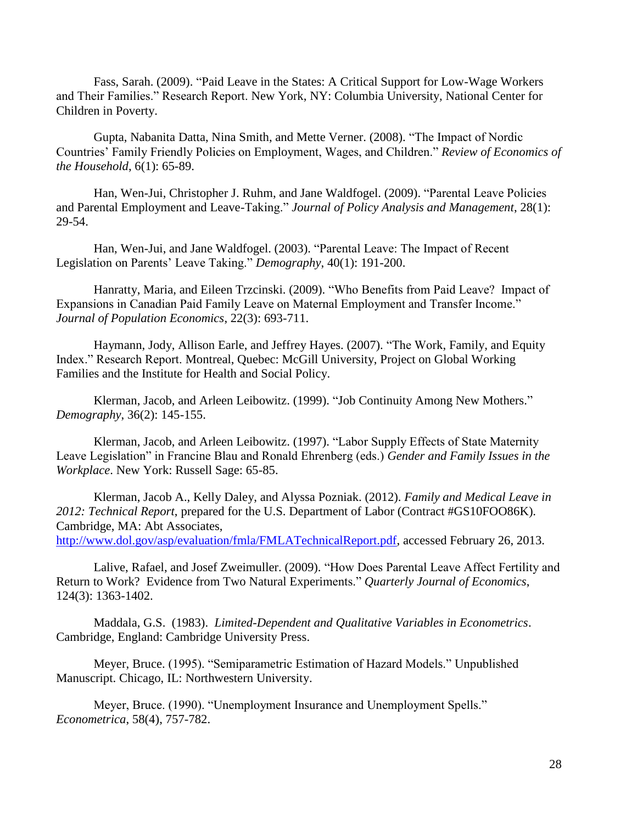Fass, Sarah. (2009). "Paid Leave in the States: A Critical Support for Low-Wage Workers and Their Families." Research Report. New York, NY: Columbia University, National Center for Children in Poverty.

Gupta, Nabanita Datta, Nina Smith, and Mette Verner. (2008). "The Impact of Nordic Countries' Family Friendly Policies on Employment, Wages, and Children." *Review of Economics of the Household*, 6(1): 65-89.

Han, Wen-Jui, Christopher J. Ruhm, and Jane Waldfogel. (2009). "Parental Leave Policies and Parental Employment and Leave-Taking." *Journal of Policy Analysis and Management*, 28(1): 29-54.

Han, Wen-Jui, and Jane Waldfogel. (2003). "Parental Leave: The Impact of Recent Legislation on Parents' Leave Taking." *Demography*, 40(1): 191-200.

Hanratty, Maria, and Eileen Trzcinski. (2009). "Who Benefits from Paid Leave? Impact of Expansions in Canadian Paid Family Leave on Maternal Employment and Transfer Income." *Journal of Population Economics*, 22(3): 693-711.

Haymann, Jody, Allison Earle, and Jeffrey Hayes. (2007). "The Work, Family, and Equity Index." Research Report. Montreal, Quebec: McGill University, Project on Global Working Families and the Institute for Health and Social Policy.

Klerman, Jacob, and Arleen Leibowitz. (1999). "Job Continuity Among New Mothers." *Demography*, 36(2): 145-155.

Klerman, Jacob, and Arleen Leibowitz. (1997). "Labor Supply Effects of State Maternity Leave Legislation" in Francine Blau and Ronald Ehrenberg (eds.) *Gender and Family Issues in the Workplace*. New York: Russell Sage: 65-85.

Klerman, Jacob A., Kelly Daley, and Alyssa Pozniak. (2012). *Family and Medical Leave in 2012: Technical Report*, prepared for the U.S. Department of Labor (Contract #GS10FOO86K). Cambridge, MA: Abt Associates, [http://www.dol.gov/asp/evaluation/fmla/FMLATechnicalReport.pdf,](http://www.dol.gov/asp/evaluation/fmla/FMLATechnicalReport.pdf) accessed February 26, 2013.

Lalive, Rafael, and Josef Zweimuller. (2009). "How Does Parental Leave Affect Fertility and Return to Work? Evidence from Two Natural Experiments." *Quarterly Journal of Economics*, 124(3): 1363-1402.

Maddala, G.S. (1983). *Limited-Dependent and Qualitative Variables in Econometrics*. Cambridge, England: Cambridge University Press.

Meyer, Bruce. (1995). "Semiparametric Estimation of Hazard Models." Unpublished Manuscript. Chicago, IL: Northwestern University.

Meyer, Bruce. (1990). "Unemployment Insurance and Unemployment Spells." *Econometrica*, 58(4), 757-782.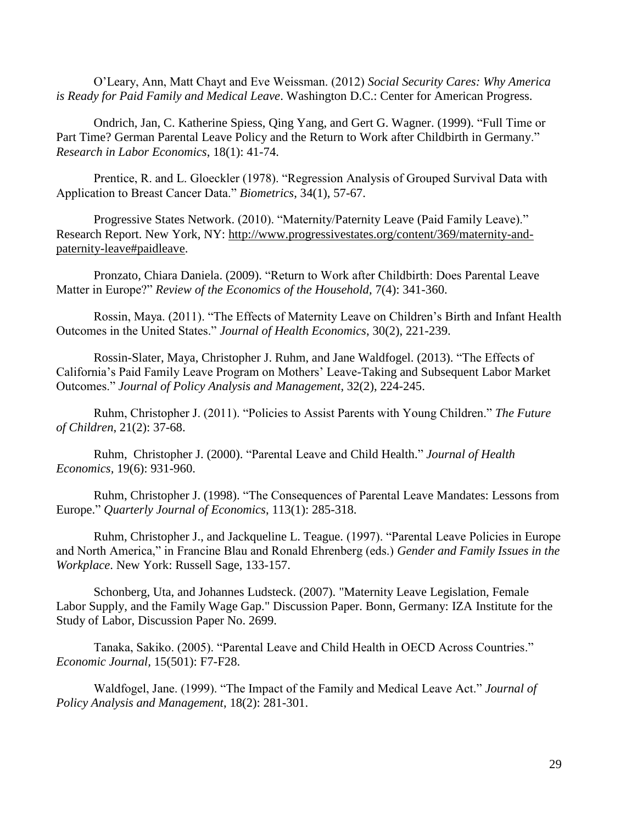O'Leary, Ann, Matt Chayt and Eve Weissman. (2012) *Social Security Cares: Why America is Ready for Paid Family and Medical Leave*. Washington D.C.: Center for American Progress.

Ondrich, Jan, C. Katherine Spiess, Qing Yang, and Gert G. Wagner. (1999). "Full Time or Part Time? German Parental Leave Policy and the Return to Work after Childbirth in Germany." *Research in Labor Economics*, 18(1): 41-74.

Prentice, R. and L. Gloeckler (1978). "Regression Analysis of Grouped Survival Data with Application to Breast Cancer Data." *Biometrics*, 34(1), 57-67.

Progressive States Network. (2010). "Maternity/Paternity Leave (Paid Family Leave)." Research Report. New York, NY: [http://www.progressivestates.org/content/369/maternity-and](http://www.progressivestates.org/content/369/maternity-and-paternity-leave#paidleave)[paternity-leave#paidleave.](http://www.progressivestates.org/content/369/maternity-and-paternity-leave#paidleave)

Pronzato, Chiara Daniela. (2009). "Return to Work after Childbirth: Does Parental Leave Matter in Europe?" *Review of the Economics of the Household*, 7(4): 341-360.

Rossin, Maya. (2011). "The Effects of Maternity Leave on Children's Birth and Infant Health Outcomes in the United States." *Journal of Health Economics*, 30(2), 221-239.

Rossin-Slater, Maya, Christopher J. Ruhm, and Jane Waldfogel. (2013). "The Effects of California's Paid Family Leave Program on Mothers' Leave-Taking and Subsequent Labor Market Outcomes." *Journal of Policy Analysis and Management*, 32(2), 224-245.

Ruhm, Christopher J. (2011). "Policies to Assist Parents with Young Children." *The Future of Children*, 21(2): 37-68.

Ruhm, Christopher J. (2000). "Parental Leave and Child Health." *Journal of Health Economics,* 19(6): 931-960.

Ruhm, Christopher J. (1998). "The Consequences of Parental Leave Mandates: Lessons from Europe." *Quarterly Journal of Economics*, 113(1): 285-318.

Ruhm, Christopher J., and Jackqueline L. Teague. (1997). "Parental Leave Policies in Europe and North America," in Francine Blau and Ronald Ehrenberg (eds.) *Gender and Family Issues in the Workplace*. New York: Russell Sage, 133-157.

Schonberg, Uta, and Johannes Ludsteck. (2007). "Maternity Leave Legislation, Female Labor Supply, and the Family Wage Gap." Discussion Paper. Bonn, Germany: IZA Institute for the Study of Labor, Discussion Paper No. 2699.

Tanaka, Sakiko. (2005). "Parental Leave and Child Health in OECD Across Countries." *Economic Journal,* 15(501): F7-F28.

Waldfogel, Jane. (1999). "The Impact of the Family and Medical Leave Act." *Journal of Policy Analysis and Management*, 18(2): 281-301.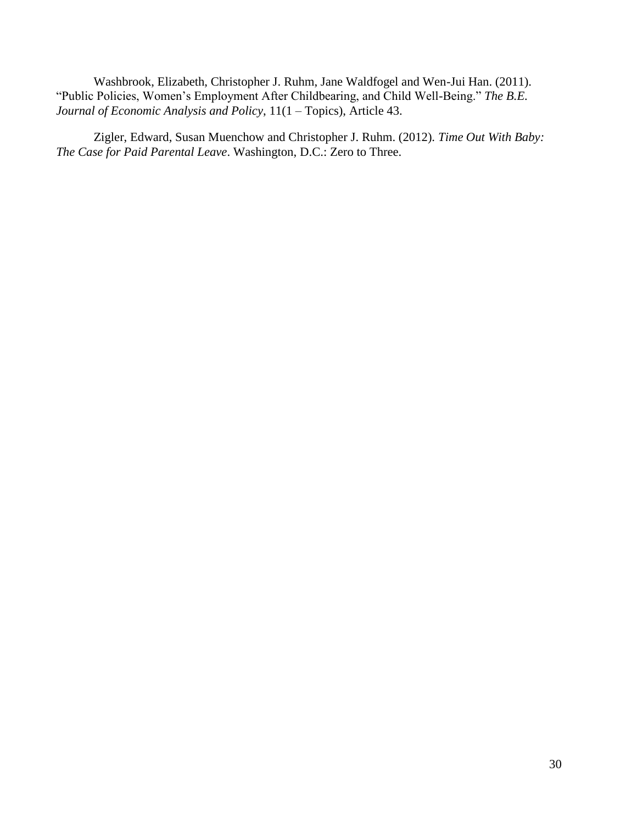Washbrook, Elizabeth, Christopher J. Ruhm, Jane Waldfogel and Wen-Jui Han. (2011). "Public Policies, Women's Employment After Childbearing, and Child Well-Being." *The B.E. Journal of Economic Analysis and Policy*, 11(1 – Topics), Article 43.

Zigler, Edward, Susan Muenchow and Christopher J. Ruhm. (2012). *Time Out With Baby: The Case for Paid Parental Leave*. Washington, D.C.: Zero to Three.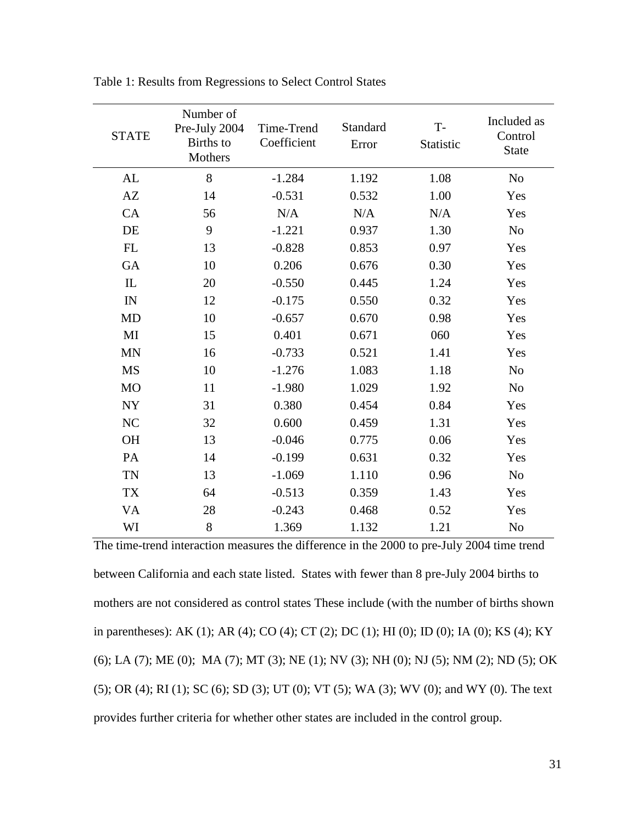| <b>STATE</b> | Number of<br>Pre-July 2004<br>Births to<br>Mothers | Time-Trend<br>Coefficient | Standard<br>Error | $T -$<br>Statistic | Included as<br>Control<br><b>State</b> |
|--------------|----------------------------------------------------|---------------------------|-------------------|--------------------|----------------------------------------|
| AL           | 8                                                  | $-1.284$                  | 1.192             | 1.08               | N <sub>o</sub>                         |
| AZ           | 14                                                 | $-0.531$                  | 0.532             | 1.00               | Yes                                    |
| CA           | 56                                                 | N/A                       | N/A               | N/A                | Yes                                    |
| DE           | 9                                                  | $-1.221$                  | 0.937             | 1.30               | N <sub>o</sub>                         |
| FL           | 13                                                 | $-0.828$                  | 0.853             | 0.97               | Yes                                    |
| GA           | 10                                                 | 0.206                     | 0.676             | 0.30               | Yes                                    |
| $\mathbf{L}$ | 20                                                 | $-0.550$                  | 0.445             | 1.24               | Yes                                    |
| IN           | 12                                                 | $-0.175$                  | 0.550             | 0.32               | Yes                                    |
| <b>MD</b>    | 10                                                 | $-0.657$                  | 0.670             | 0.98               | Yes                                    |
| MI           | 15                                                 | 0.401                     | 0.671             | 060                | Yes                                    |
| <b>MN</b>    | 16                                                 | $-0.733$                  | 0.521             | 1.41               | Yes                                    |
| <b>MS</b>    | 10                                                 | $-1.276$                  | 1.083             | 1.18               | N <sub>0</sub>                         |
| <b>MO</b>    | 11                                                 | $-1.980$                  | 1.029             | 1.92               | N <sub>0</sub>                         |
| <b>NY</b>    | 31                                                 | 0.380                     | 0.454             | 0.84               | Yes                                    |
| NC           | 32                                                 | 0.600                     | 0.459             | 1.31               | Yes                                    |
| <b>OH</b>    | 13                                                 | $-0.046$                  | 0.775             | 0.06               | Yes                                    |
| PA           | 14                                                 | $-0.199$                  | 0.631             | 0.32               | Yes                                    |
| <b>TN</b>    | 13                                                 | $-1.069$                  | 1.110             | 0.96               | N <sub>o</sub>                         |
| <b>TX</b>    | 64                                                 | $-0.513$                  | 0.359             | 1.43               | Yes                                    |
| <b>VA</b>    | 28                                                 | $-0.243$                  | 0.468             | 0.52               | Yes                                    |
| WI           | 8                                                  | 1.369                     | 1.132             | 1.21               | N <sub>o</sub>                         |

Table 1: Results from Regressions to Select Control States

The time-trend interaction measures the difference in the 2000 to pre-July 2004 time trend between California and each state listed. States with fewer than 8 pre-July 2004 births to mothers are not considered as control states These include (with the number of births shown in parentheses): AK (1); AR (4); CO (4); CT (2); DC (1); HI (0); ID (0); IA (0); KS (4); KY (6); LA (7); ME (0); MA (7); MT (3); NE (1); NV (3); NH (0); NJ (5); NM (2); ND (5); OK (5); OR (4); RI (1); SC (6); SD (3); UT (0); VT (5); WA (3); WV (0); and WY (0). The text provides further criteria for whether other states are included in the control group.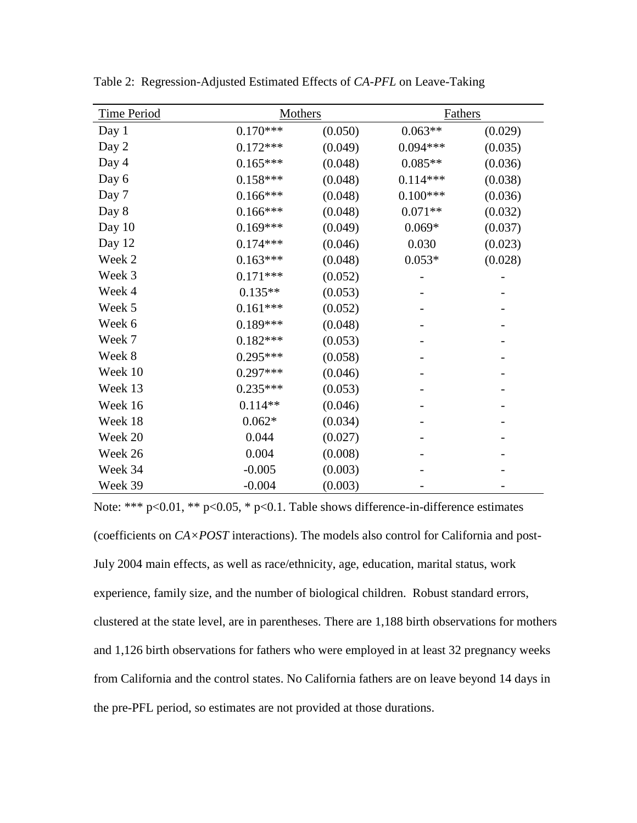| <b>Time Period</b> | <b>Mothers</b> |         | <b>Fathers</b> |         |  |  |
|--------------------|----------------|---------|----------------|---------|--|--|
| Day 1              | $0.170***$     | (0.050) | $0.063**$      | (0.029) |  |  |
| Day 2              | $0.172***$     | (0.049) | $0.094***$     | (0.035) |  |  |
| Day 4              | $0.165***$     | (0.048) | $0.085**$      | (0.036) |  |  |
| Day 6              | $0.158***$     | (0.048) | $0.114***$     | (0.038) |  |  |
| Day 7              | $0.166***$     | (0.048) | $0.100***$     | (0.036) |  |  |
| Day 8              | $0.166***$     | (0.048) | $0.071**$      | (0.032) |  |  |
| Day 10             | $0.169***$     | (0.049) | $0.069*$       | (0.037) |  |  |
| Day 12             | $0.174***$     | (0.046) | 0.030          | (0.023) |  |  |
| Week 2             | $0.163***$     | (0.048) | $0.053*$       | (0.028) |  |  |
| Week 3             | $0.171***$     | (0.052) |                |         |  |  |
| Week 4             | $0.135**$      | (0.053) |                |         |  |  |
| Week 5             | $0.161***$     | (0.052) |                |         |  |  |
| Week 6             | $0.189***$     | (0.048) |                |         |  |  |
| Week 7             | $0.182***$     | (0.053) |                |         |  |  |
| Week 8             | $0.295***$     | (0.058) |                |         |  |  |
| Week 10            | $0.297***$     | (0.046) |                |         |  |  |
| Week 13            | $0.235***$     | (0.053) |                |         |  |  |
| Week 16            | $0.114**$      | (0.046) |                |         |  |  |
| Week 18            | $0.062*$       | (0.034) |                |         |  |  |
| Week 20            | 0.044          | (0.027) |                |         |  |  |
| Week 26            | 0.004          | (0.008) |                |         |  |  |
| Week 34            | $-0.005$       | (0.003) |                |         |  |  |
| Week 39            | $-0.004$       | (0.003) |                |         |  |  |

Table 2: Regression-Adjusted Estimated Effects of *CA-PFL* on Leave-Taking

Note: \*\*\* p<0.01, \*\* p<0.05, \* p<0.1. Table shows difference-in-difference estimates (coefficients on *CA×POST* interactions). The models also control for California and post-July 2004 main effects, as well as race/ethnicity, age, education, marital status, work experience, family size, and the number of biological children. Robust standard errors, clustered at the state level, are in parentheses. There are 1,188 birth observations for mothers and 1,126 birth observations for fathers who were employed in at least 32 pregnancy weeks from California and the control states. No California fathers are on leave beyond 14 days in the pre-PFL period, so estimates are not provided at those durations.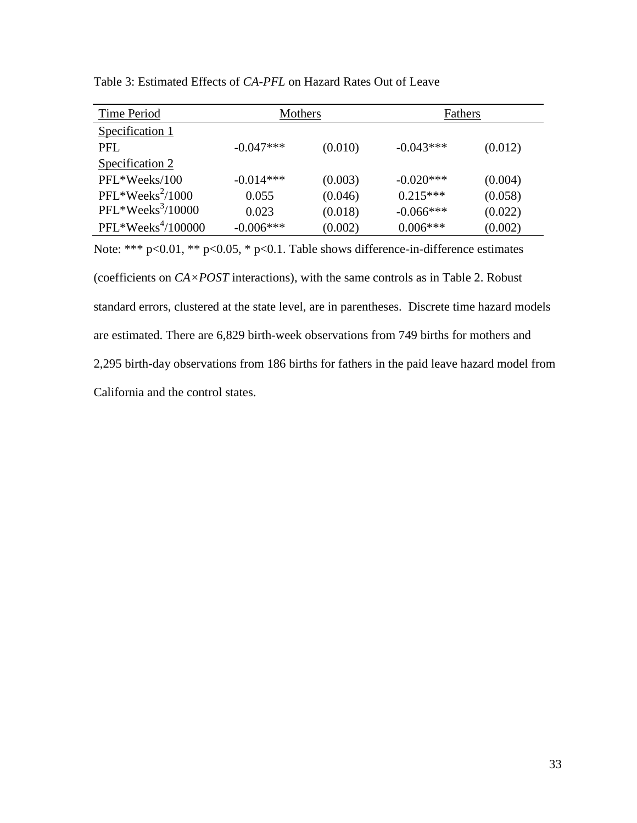| Time Period         | Mothers     |         | Fathers     |         |
|---------------------|-------------|---------|-------------|---------|
| Specification 1     |             |         |             |         |
| PFL.                | $-0.047***$ | (0.010) | $-0.043***$ | (0.012) |
| Specification 2     |             |         |             |         |
| PFL*Weeks/100       | $-0.014***$ | (0.003) | $-0.020***$ | (0.004) |
| $PFL*Weeks^2/1000$  | 0.055       | (0.046) | $0.215***$  | (0.058) |
| $PFL*Weeks3/10000$  | 0.023       | (0.018) | $-0.066***$ | (0.022) |
| $PFL*Weeks4/100000$ | $-0.006***$ | (0.002) | $0.006***$  | (0.002) |

Table 3: Estimated Effects of *CA-PFL* on Hazard Rates Out of Leave

Note: \*\*\* p<0.01, \*\* p<0.05, \* p<0.1. Table shows difference-in-difference estimates (coefficients on *CA×POST* interactions), with the same controls as in Table 2. Robust standard errors, clustered at the state level, are in parentheses. Discrete time hazard models are estimated. There are 6,829 birth-week observations from 749 births for mothers and 2,295 birth-day observations from 186 births for fathers in the paid leave hazard model from California and the control states.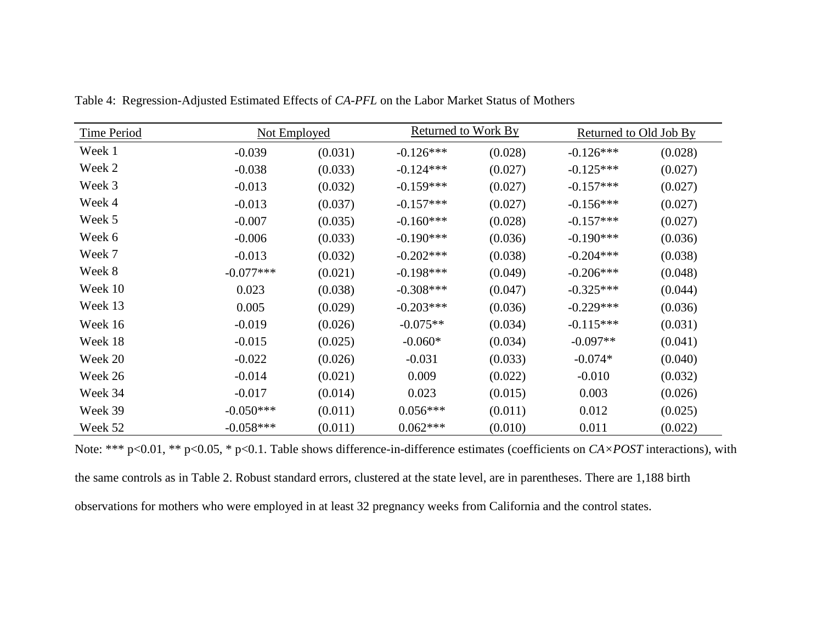| <b>Time Period</b> | Not Employed |         | Returned to Work By |         | Returned to Old Job By |         |
|--------------------|--------------|---------|---------------------|---------|------------------------|---------|
| Week 1             | $-0.039$     | (0.031) | $-0.126***$         | (0.028) | $-0.126***$            | (0.028) |
| Week 2             | $-0.038$     | (0.033) | $-0.124***$         | (0.027) | $-0.125***$            | (0.027) |
| Week 3             | $-0.013$     | (0.032) | $-0.159***$         | (0.027) | $-0.157***$            | (0.027) |
| Week 4             | $-0.013$     | (0.037) | $-0.157***$         | (0.027) | $-0.156***$            | (0.027) |
| Week 5             | $-0.007$     | (0.035) | $-0.160***$         | (0.028) | $-0.157***$            | (0.027) |
| Week 6             | $-0.006$     | (0.033) | $-0.190***$         | (0.036) | $-0.190***$            | (0.036) |
| Week 7             | $-0.013$     | (0.032) | $-0.202***$         | (0.038) | $-0.204***$            | (0.038) |
| Week 8             | $-0.077***$  | (0.021) | $-0.198***$         | (0.049) | $-0.206***$            | (0.048) |
| Week 10            | 0.023        | (0.038) | $-0.308***$         | (0.047) | $-0.325***$            | (0.044) |
| Week 13            | 0.005        | (0.029) | $-0.203***$         | (0.036) | $-0.229***$            | (0.036) |
| Week 16            | $-0.019$     | (0.026) | $-0.075**$          | (0.034) | $-0.115***$            | (0.031) |
| Week 18            | $-0.015$     | (0.025) | $-0.060*$           | (0.034) | $-0.097**$             | (0.041) |
| Week 20            | $-0.022$     | (0.026) | $-0.031$            | (0.033) | $-0.074*$              | (0.040) |
| Week 26            | $-0.014$     | (0.021) | 0.009               | (0.022) | $-0.010$               | (0.032) |
| Week 34            | $-0.017$     | (0.014) | 0.023               | (0.015) | 0.003                  | (0.026) |
| Week 39            | $-0.050***$  | (0.011) | $0.056***$          | (0.011) | 0.012                  | (0.025) |
| Week 52            | $-0.058***$  | (0.011) | $0.062***$          | (0.010) | 0.011                  | (0.022) |

Table 4: Regression-Adjusted Estimated Effects of *CA-PFL* on the Labor Market Status of Mothers

Note: \*\*\* p<0.01, \*\* p<0.05, \* p<0.1. Table shows difference-in-difference estimates (coefficients on *CA×POST* interactions), with the same controls as in Table 2. Robust standard errors, clustered at the state level, are in parentheses. There are 1,188 birth observations for mothers who were employed in at least 32 pregnancy weeks from California and the control states.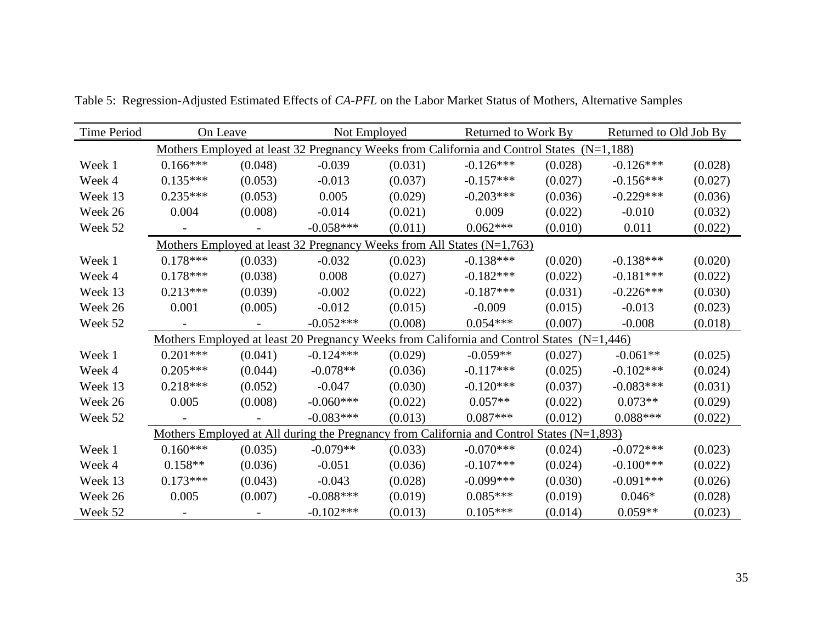| <b>Time Period</b> | On Leave   |         | <b>Not Employed</b> |         |                                                                                             | Returned to Work By |             | Returned to Old Job By |
|--------------------|------------|---------|---------------------|---------|---------------------------------------------------------------------------------------------|---------------------|-------------|------------------------|
|                    |            |         |                     |         | Mothers Employed at least 32 Pregnancy Weeks from California and Control States (N=1,188)   |                     |             |                        |
| Week 1             | $0.166***$ | (0.048) | $-0.039$            | (0.031) | $-0.126***$                                                                                 | (0.028)             | $-0.126***$ | (0.028)                |
| Week 4             | $0.135***$ | (0.053) | $-0.013$            | (0.037) | $-0.157***$                                                                                 | (0.027)             | $-0.156***$ | (0.027)                |
| Week 13            | $0.235***$ | (0.053) | 0.005               | (0.029) | $-0.203***$                                                                                 | (0.036)             | $-0.229***$ | (0.036)                |
| Week 26            | 0.004      | (0.008) | $-0.014$            | (0.021) | 0.009                                                                                       | (0.022)             | $-0.010$    | (0.032)                |
| Week 52            |            |         | $-0.058***$         | (0.011) | $0.062***$                                                                                  | (0.010)             | 0.011       | (0.022)                |
|                    |            |         |                     |         | Mothers Employed at least 32 Pregnancy Weeks from All States $(N=1,763)$                    |                     |             |                        |
| Week 1             | $0.178***$ | (0.033) | $-0.032$            | (0.023) | $-0.138***$                                                                                 | (0.020)             | $-0.138***$ | (0.020)                |
| Week 4             | $0.178***$ | (0.038) | 0.008               | (0.027) | $-0.182***$                                                                                 | (0.022)             | $-0.181***$ | (0.022)                |
| Week 13            | $0.213***$ | (0.039) | $-0.002$            | (0.022) | $-0.187***$                                                                                 | (0.031)             | $-0.226***$ | (0.030)                |
| Week 26            | 0.001      | (0.005) | $-0.012$            | (0.015) | $-0.009$                                                                                    | (0.015)             | $-0.013$    | (0.023)                |
| Week 52            |            |         | $-0.052***$         | (0.008) | $0.054***$                                                                                  | (0.007)             | $-0.008$    | (0.018)                |
|                    |            |         |                     |         | Mothers Employed at least 20 Pregnancy Weeks from California and Control States (N=1,446)   |                     |             |                        |
| Week 1             | $0.201***$ | (0.041) | $-0.124***$         | (0.029) | $-0.059**$                                                                                  | (0.027)             | $-0.061**$  | (0.025)                |
| Week 4             | $0.205***$ | (0.044) | $-0.078**$          | (0.036) | $-0.117***$                                                                                 | (0.025)             | $-0.102***$ | (0.024)                |
| Week 13            | $0.218***$ | (0.052) | $-0.047$            | (0.030) | $-0.120***$                                                                                 | (0.037)             | $-0.083***$ | (0.031)                |
| Week 26            | 0.005      | (0.008) | $-0.060***$         | (0.022) | $0.057**$                                                                                   | (0.022)             | $0.073**$   | (0.029)                |
| Week 52            |            |         | $-0.083***$         | (0.013) | $0.087***$                                                                                  | (0.012)             | $0.088***$  | (0.022)                |
|                    |            |         |                     |         | Mothers Employed at All during the Pregnancy from California and Control States $(N=1,893)$ |                     |             |                        |
| Week 1             | $0.160***$ | (0.035) | $-0.079**$          | (0.033) | $-0.070***$                                                                                 | (0.024)             | $-0.072***$ | (0.023)                |
| Week 4             | $0.158**$  | (0.036) | $-0.051$            | (0.036) | $-0.107***$                                                                                 | (0.024)             | $-0.100***$ | (0.022)                |
| Week 13            | $0.173***$ | (0.043) | $-0.043$            | (0.028) | $-0.099***$                                                                                 | (0.030)             | $-0.091***$ | (0.026)                |
| Week 26            | 0.005      | (0.007) | $-0.088***$         | (0.019) | $0.085***$                                                                                  | (0.019)             | $0.046*$    | (0.028)                |
| Week 52            |            |         | $-0.102***$         | (0.013) | $0.105***$                                                                                  | (0.014)             | $0.059**$   | (0.023)                |

Table 5: Regression-Adjusted Estimated Effects of *CA-PFL* on the Labor Market Status of Mothers, Alternative Samples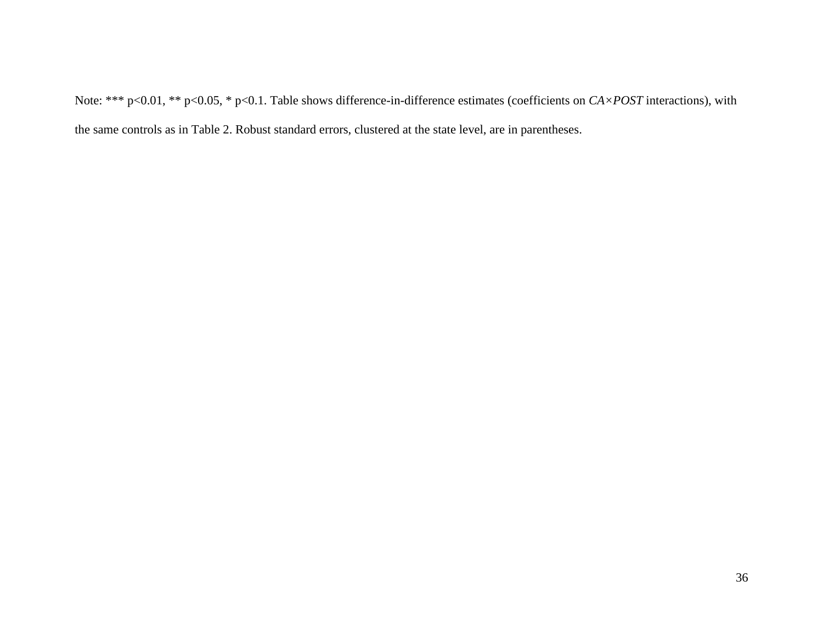Note: \*\*\* p<0.01, \*\* p<0.05, \* p<0.1. Table shows difference-in-difference estimates (coefficients on *CA×POST* interactions), with the same controls as in Table 2. Robust standard errors, clustered at the state level, are in parentheses.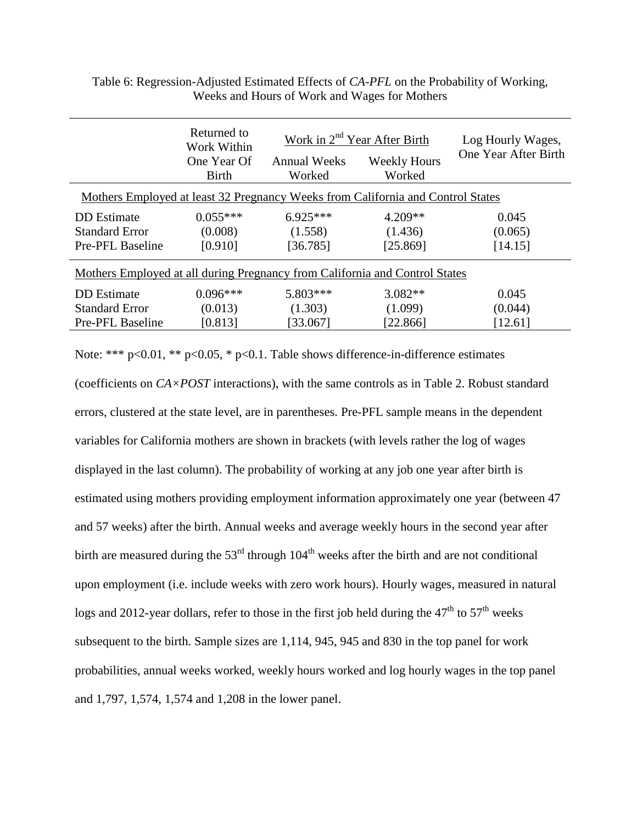|                                                                                 | Returned to<br>Work Within | Work in 2 <sup>nd</sup> Year After Birth |                     | Log Hourly Wages,    |  |  |  |
|---------------------------------------------------------------------------------|----------------------------|------------------------------------------|---------------------|----------------------|--|--|--|
|                                                                                 | One Year Of                | <b>Annual Weeks</b>                      | <b>Weekly Hours</b> | One Year After Birth |  |  |  |
|                                                                                 | <b>Birth</b>               | Worked                                   | Worked              |                      |  |  |  |
| Mothers Employed at least 32 Pregnancy Weeks from California and Control States |                            |                                          |                     |                      |  |  |  |
| <b>DD</b> Estimate                                                              | $0.055***$                 | $6.925***$                               | $4.209**$           | 0.045                |  |  |  |
| <b>Standard Error</b>                                                           | (0.008)                    | (1.558)                                  | (1.436)             | (0.065)              |  |  |  |
| <b>Pre-PFL Baseline</b>                                                         | [0.910]                    | [36.785]                                 | [25.869]            | [14.15]              |  |  |  |
| Mothers Employed at all during Pregnancy from California and Control States     |                            |                                          |                     |                      |  |  |  |
| DD Estimate                                                                     | $0.096***$                 | 5.803***                                 | $3.082**$           | 0.045                |  |  |  |
| <b>Standard Error</b>                                                           | (0.013)                    | (1.303)                                  | (1.099)             | (0.044)              |  |  |  |
| Pre-PFL Baseline                                                                | [0.813]                    | [33.067]                                 | [22.866]            | [12.61]              |  |  |  |

Table 6: Regression-Adjusted Estimated Effects of *CA-PFL* on the Probability of Working, Weeks and Hours of Work and Wages for Mothers

Note: \*\*\* p<0.01, \*\* p<0.05, \* p<0.1. Table shows difference-in-difference estimates

(coefficients on *CA×POST* interactions), with the same controls as in Table 2. Robust standard errors, clustered at the state level, are in parentheses. Pre-PFL sample means in the dependent variables for California mothers are shown in brackets (with levels rather the log of wages displayed in the last column). The probability of working at any job one year after birth is estimated using mothers providing employment information approximately one year (between 47 and 57 weeks) after the birth. Annual weeks and average weekly hours in the second year after birth are measured during the  $53<sup>rd</sup>$  through  $104<sup>th</sup>$  weeks after the birth and are not conditional upon employment (i.e. include weeks with zero work hours). Hourly wages, measured in natural logs and 2012-year dollars, refer to those in the first job held during the  $47<sup>th</sup>$  to  $57<sup>th</sup>$  weeks subsequent to the birth. Sample sizes are 1,114, 945, 945 and 830 in the top panel for work probabilities, annual weeks worked, weekly hours worked and log hourly wages in the top panel and 1,797, 1,574, 1,574 and 1,208 in the lower panel.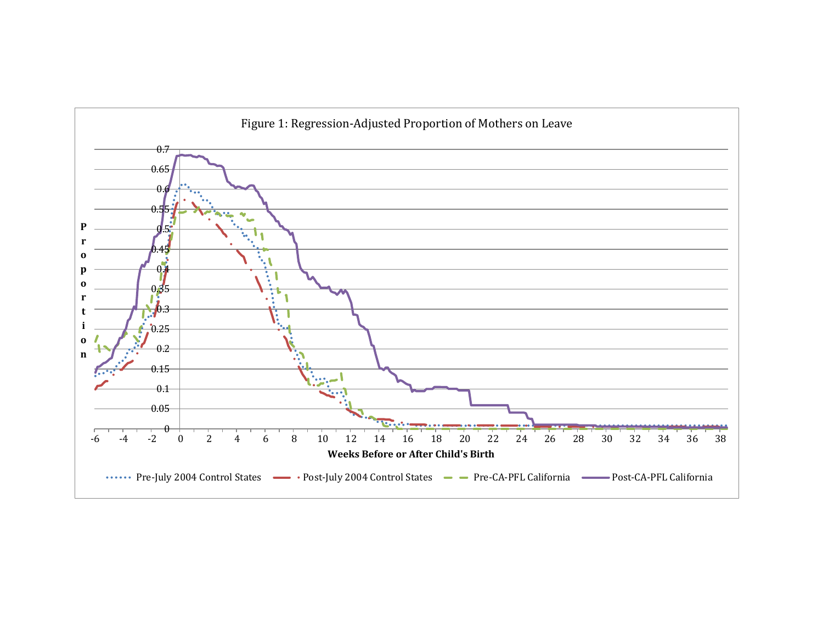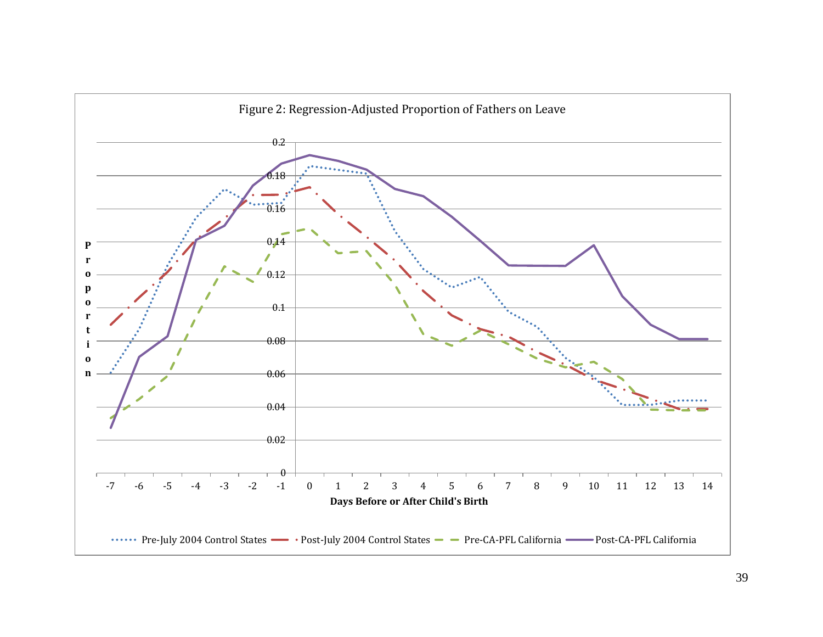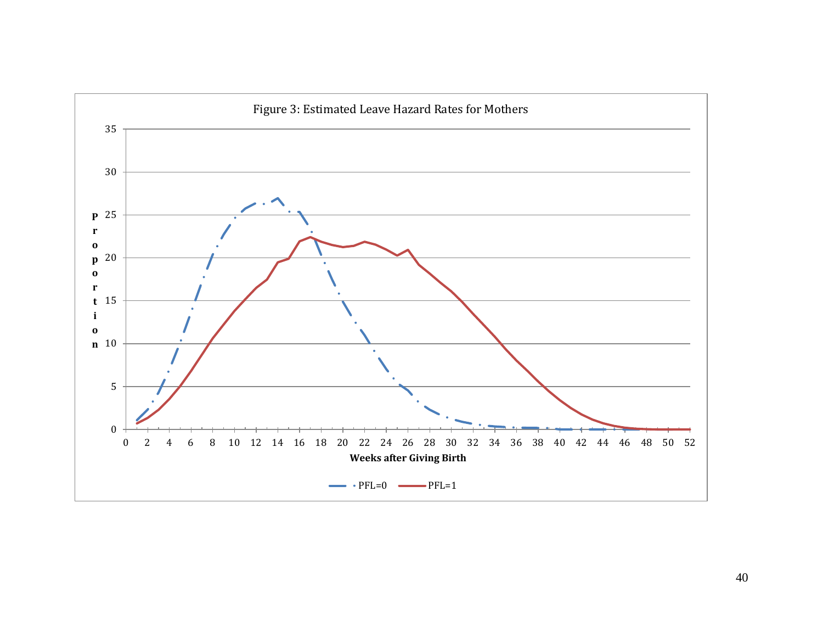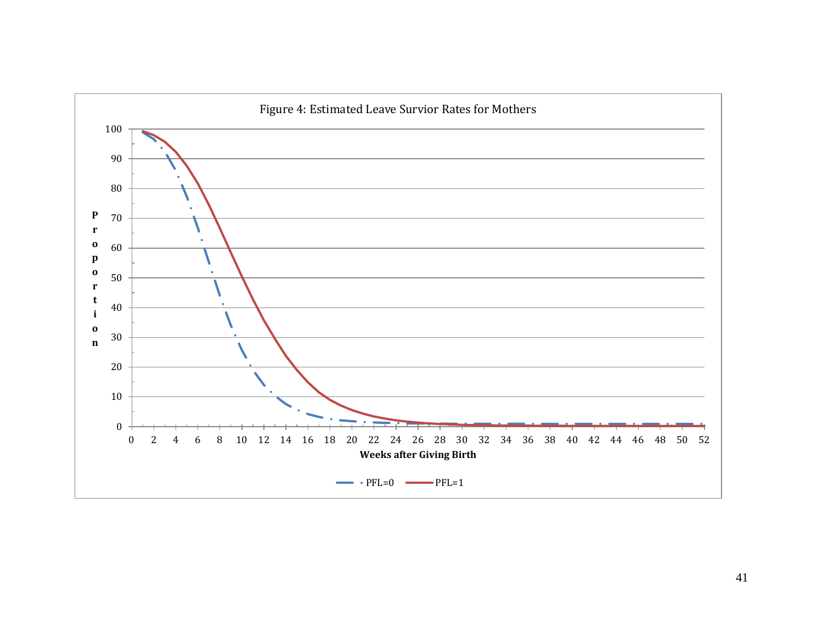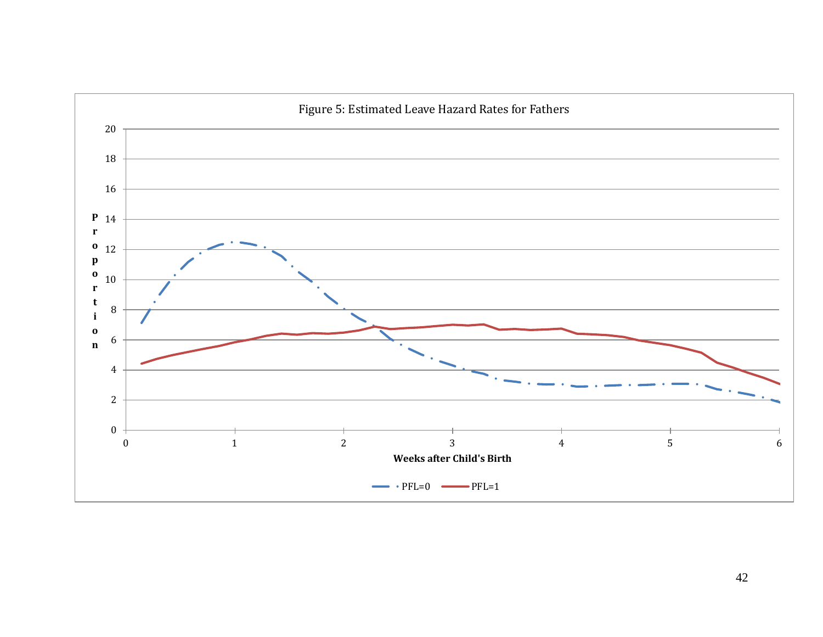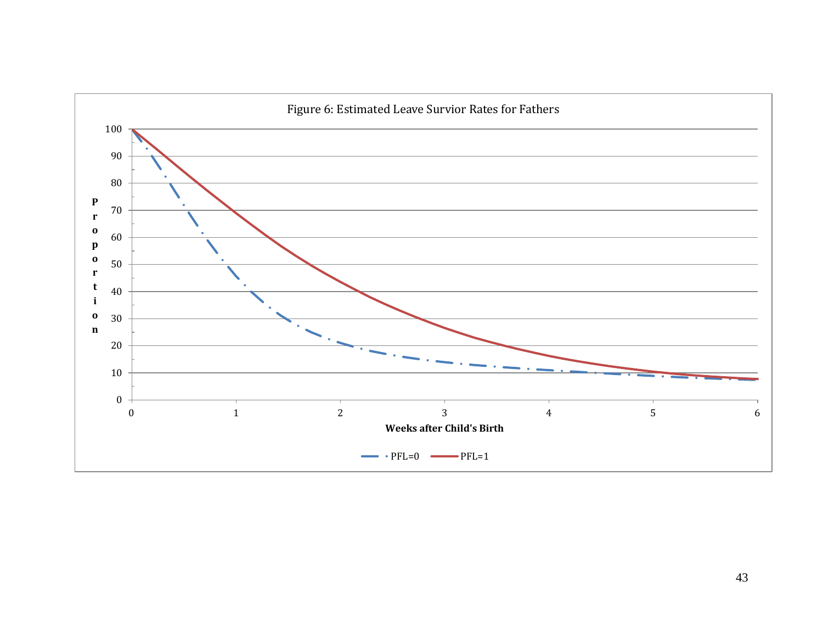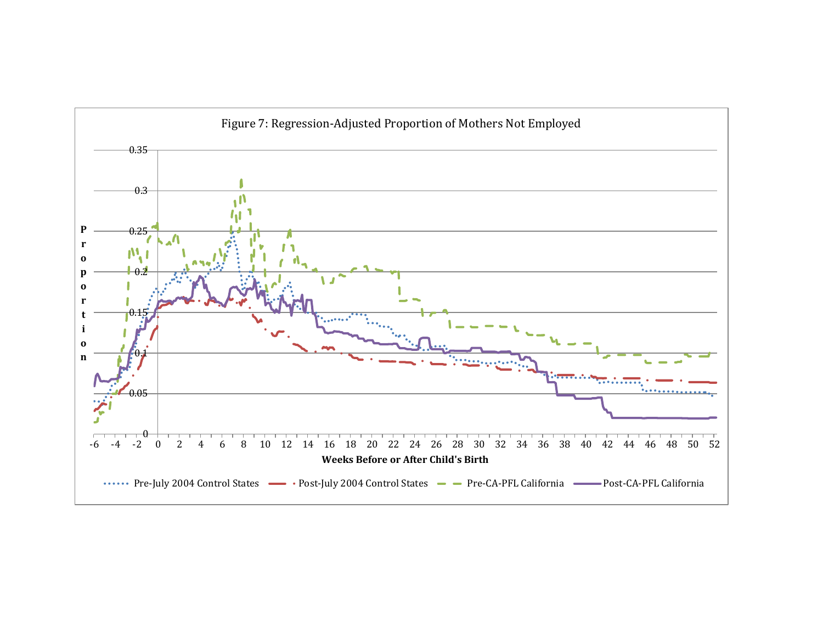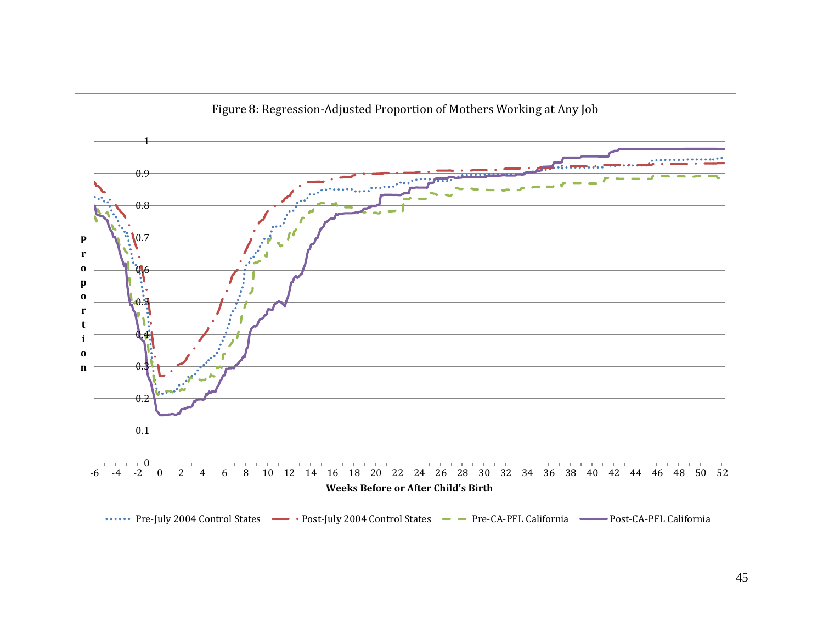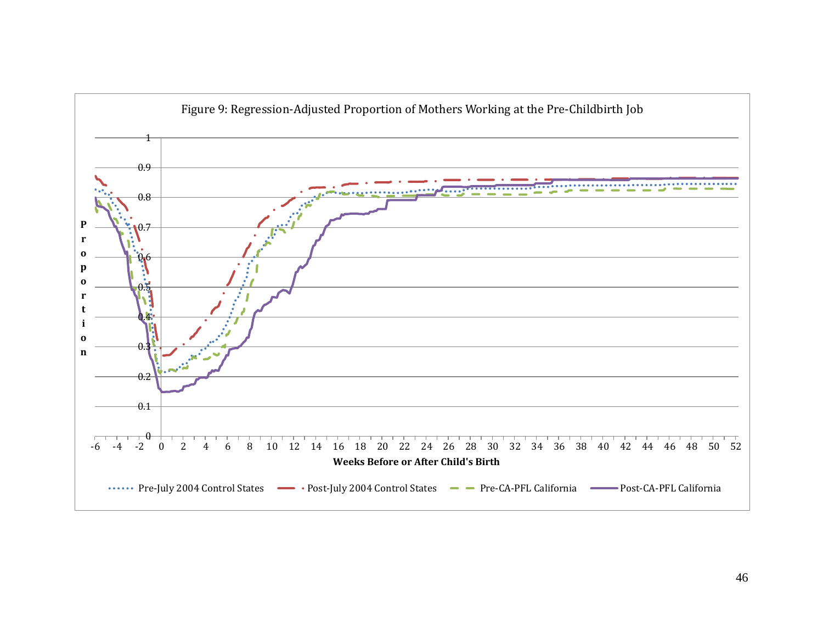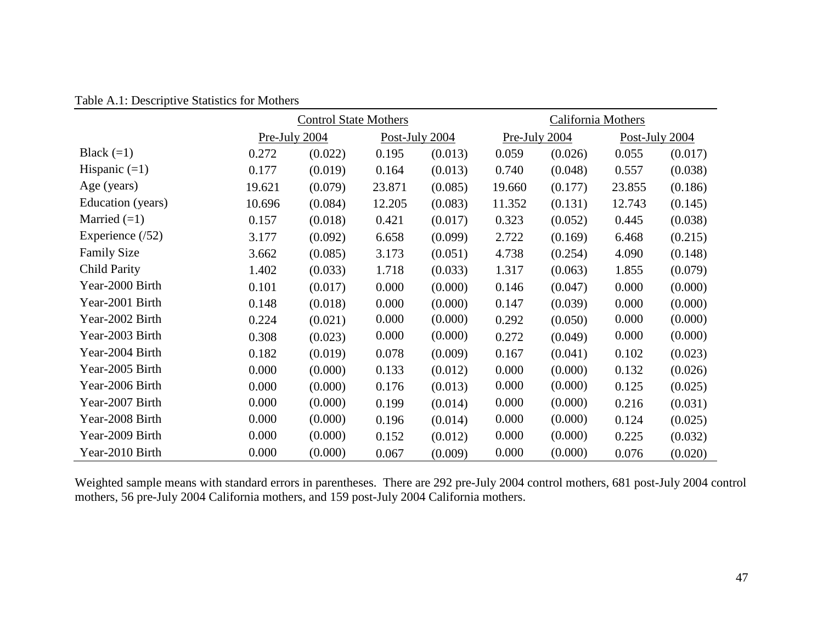| Table A.1: Descriptive Statistics for Mothers |  |
|-----------------------------------------------|--|
|-----------------------------------------------|--|

|                     | <b>Control State Mothers</b> |         |                |         |               | California Mothers |                |         |  |
|---------------------|------------------------------|---------|----------------|---------|---------------|--------------------|----------------|---------|--|
|                     | Pre-July 2004                |         | Post-July 2004 |         | Pre-July 2004 |                    | Post-July 2004 |         |  |
| Black $(=1)$        | 0.272                        | (0.022) | 0.195          | (0.013) | 0.059         | (0.026)            | 0.055          | (0.017) |  |
| Hispanic $(=1)$     | 0.177                        | (0.019) | 0.164          | (0.013) | 0.740         | (0.048)            | 0.557          | (0.038) |  |
| Age (years)         | 19.621                       | (0.079) | 23.871         | (0.085) | 19.660        | (0.177)            | 23.855         | (0.186) |  |
| Education (years)   | 10.696                       | (0.084) | 12.205         | (0.083) | 11.352        | (0.131)            | 12.743         | (0.145) |  |
| Married $(=1)$      | 0.157                        | (0.018) | 0.421          | (0.017) | 0.323         | (0.052)            | 0.445          | (0.038) |  |
| Experience $(52)$   | 3.177                        | (0.092) | 6.658          | (0.099) | 2.722         | (0.169)            | 6.468          | (0.215) |  |
| <b>Family Size</b>  | 3.662                        | (0.085) | 3.173          | (0.051) | 4.738         | (0.254)            | 4.090          | (0.148) |  |
| <b>Child Parity</b> | 1.402                        | (0.033) | 1.718          | (0.033) | 1.317         | (0.063)            | 1.855          | (0.079) |  |
| Year-2000 Birth     | 0.101                        | (0.017) | 0.000          | (0.000) | 0.146         | (0.047)            | 0.000          | (0.000) |  |
| Year-2001 Birth     | 0.148                        | (0.018) | 0.000          | (0.000) | 0.147         | (0.039)            | 0.000          | (0.000) |  |
| Year-2002 Birth     | 0.224                        | (0.021) | 0.000          | (0.000) | 0.292         | (0.050)            | 0.000          | (0.000) |  |
| Year-2003 Birth     | 0.308                        | (0.023) | 0.000          | (0.000) | 0.272         | (0.049)            | 0.000          | (0.000) |  |
| Year-2004 Birth     | 0.182                        | (0.019) | 0.078          | (0.009) | 0.167         | (0.041)            | 0.102          | (0.023) |  |
| Year-2005 Birth     | 0.000                        | (0.000) | 0.133          | (0.012) | 0.000         | (0.000)            | 0.132          | (0.026) |  |
| Year-2006 Birth     | 0.000                        | (0.000) | 0.176          | (0.013) | 0.000         | (0.000)            | 0.125          | (0.025) |  |
| Year-2007 Birth     | 0.000                        | (0.000) | 0.199          | (0.014) | 0.000         | (0.000)            | 0.216          | (0.031) |  |
| Year-2008 Birth     | 0.000                        | (0.000) | 0.196          | (0.014) | 0.000         | (0.000)            | 0.124          | (0.025) |  |
| Year-2009 Birth     | 0.000                        | (0.000) | 0.152          | (0.012) | 0.000         | (0.000)            | 0.225          | (0.032) |  |
| Year-2010 Birth     | 0.000                        | (0.000) | 0.067          | (0.009) | 0.000         | (0.000)            | 0.076          | (0.020) |  |

Weighted sample means with standard errors in parentheses. There are 292 pre-July 2004 control mothers, 681 post-July 2004 control mothers, 56 pre-July 2004 California mothers, and 159 post-July 2004 California mothers.